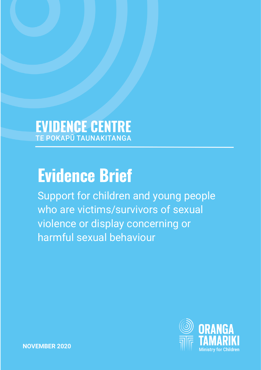# **EVIDENCE CENTRE**

## **Evidence Brief**

Support for children and young people who are victims/survivors of sexual violence or display concerning or harmful sexual behaviour

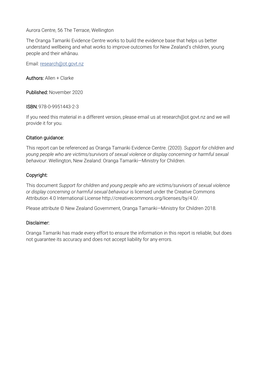Aurora Centre, 56 The Terrace, Wellington

The Oranga Tamariki Evidence Centre works to build the evidence base that helps us better understand wellbeing and what works to improve outcomes for New Zealand's children, young people and their whānau.

Email: [research@ot.govt.nz](mailto:research@ot.govt.nz)

Authors: Allen + Clarke

Published: November 2020

ISBN: 978-0-9951443-2-3

If you need this material in a different version, please email us at research@ot.govt.nz and we will provide it for you.

#### Citation guidance:

This report can be referenced as Oranga Tamariki Evidence Centre. (2020). *Support for children and young people who are victims/survivors of sexual violence or display concerning or harmful sexual behaviour*. Wellington, New Zealand: Oranga Tamariki—Ministry for Children.

#### Copyright:

This document *Support for children and young people who are victims/survivors of sexual violence or display concerning or harmful sexual behaviour* is licensed under the Creative Commons Attribution 4.0 International License http://creativecommons.org/licenses/by/4.0/.

Please attribute © New Zealand Government, Oranga Tamariki—Ministry for Children 2018.

#### Disclaimer:

<span id="page-1-0"></span>Oranga Tamariki has made every effort to ensure the information in this report is reliable, but does not guarantee its accuracy and does not accept liability for any errors.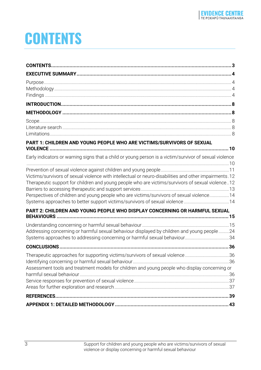## **CONTENTS**

| PART 1: CHILDREN AND YOUNG PEOPLE WHO ARE VICTIMS/SURVIVORS OF SEXUAL<br>Early indicators or warning signs that a child or young person is a victim/survivor of sexual violence<br>Victims/survivors of sexual violence with intellectual or neuro-disabilities and other impairments.12<br>Therapeutic support for children and young people who are victims/survivors of sexual violence12<br>Perspectives of children and young people who are victims/survivors of sexual violence14 |
|------------------------------------------------------------------------------------------------------------------------------------------------------------------------------------------------------------------------------------------------------------------------------------------------------------------------------------------------------------------------------------------------------------------------------------------------------------------------------------------|
|                                                                                                                                                                                                                                                                                                                                                                                                                                                                                          |
|                                                                                                                                                                                                                                                                                                                                                                                                                                                                                          |
|                                                                                                                                                                                                                                                                                                                                                                                                                                                                                          |
|                                                                                                                                                                                                                                                                                                                                                                                                                                                                                          |
|                                                                                                                                                                                                                                                                                                                                                                                                                                                                                          |
|                                                                                                                                                                                                                                                                                                                                                                                                                                                                                          |
|                                                                                                                                                                                                                                                                                                                                                                                                                                                                                          |
|                                                                                                                                                                                                                                                                                                                                                                                                                                                                                          |
|                                                                                                                                                                                                                                                                                                                                                                                                                                                                                          |
|                                                                                                                                                                                                                                                                                                                                                                                                                                                                                          |
|                                                                                                                                                                                                                                                                                                                                                                                                                                                                                          |
|                                                                                                                                                                                                                                                                                                                                                                                                                                                                                          |
|                                                                                                                                                                                                                                                                                                                                                                                                                                                                                          |
|                                                                                                                                                                                                                                                                                                                                                                                                                                                                                          |
| PART 2: CHILDREN AND YOUNG PEOPLE WHO DISPLAY CONCERNING OR HARMFUL SEXUAL                                                                                                                                                                                                                                                                                                                                                                                                               |
| <b>BEHAVIOURS</b>                                                                                                                                                                                                                                                                                                                                                                                                                                                                        |
|                                                                                                                                                                                                                                                                                                                                                                                                                                                                                          |
| Addressing concerning or harmful sexual behaviour displayed by children and young people 24<br>Systems approaches to addressing concerning or harmful sexual behaviour34                                                                                                                                                                                                                                                                                                                 |
|                                                                                                                                                                                                                                                                                                                                                                                                                                                                                          |
| Therapeutic approaches for supporting victims/survivors of sexual violence36                                                                                                                                                                                                                                                                                                                                                                                                             |
|                                                                                                                                                                                                                                                                                                                                                                                                                                                                                          |
| Assessment tools and treatment models for children and young people who display concerning or                                                                                                                                                                                                                                                                                                                                                                                            |
|                                                                                                                                                                                                                                                                                                                                                                                                                                                                                          |
|                                                                                                                                                                                                                                                                                                                                                                                                                                                                                          |
|                                                                                                                                                                                                                                                                                                                                                                                                                                                                                          |
|                                                                                                                                                                                                                                                                                                                                                                                                                                                                                          |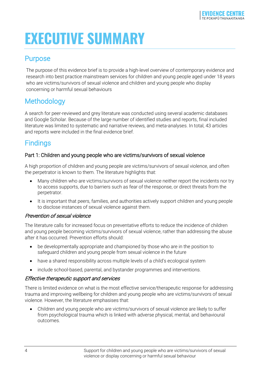## <span id="page-3-0"></span>**EXECUTIVE SUMMARY**

### <span id="page-3-1"></span>Purpose

The purpose of this evidence brief is to provide a high-level overview of contemporary evidence and research into best practice mainstream services for children and young people aged under 18 years who are victims/survivors of sexual violence and children and young people who display concerning or harmful sexual behaviours

## <span id="page-3-2"></span>Methodology

A search for peer-reviewed and grey literature was conducted using several academic databases and Google Scholar. Because of the large number of identified studies and reports, final included literature was limited to systematic and narrative reviews, and meta-analyses. In total, 43 articles and reports were included in the final evidence brief.

## <span id="page-3-3"></span>**Findings**

#### Part 1: Children and young people who are victims/survivors of sexual violence

A high proportion of children and young people are victims/survivors of sexual violence, and often the perpetrator is known to them. The literature highlights that:

- Many children who are victims/survivors of sexual violence neither report the incidents nor try to access supports, due to barriers such as fear of the response, or direct threats from the perpetrator.
- It is important that peers, families, and authorities actively support children and young people to disclose instances of sexual violence against them.

#### Prevention of sexual violence

The literature calls for increased focus on preventative efforts to reduce the incidence of children and young people becoming victims/survivors of sexual violence, rather than addressing the abuse after it has occurred. Prevention efforts should:

- be developmentally appropriate and championed by those who are in the position to safeguard children and young people from sexual violence in the future
- have a shared responsibility across multiple levels of a child's ecological system
- include school-based, parental, and bystander programmes and interventions.

#### Effective therapeutic support and services

There is limited evidence on what is the most effective service/therapeutic response for addressing trauma and improving wellbeing for children and young people who are victims/survivors of sexual violence. However, the literature emphasises that:

• Children and young people who are victims/survivors of sexual violence are likely to suffer from psychological trauma which is linked with adverse physical, mental, and behavioural outcomes.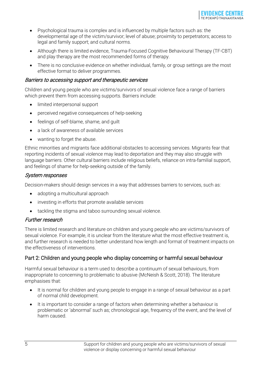

- Psychological trauma is complex and is influenced by multiple factors such as: the developmental age of the victim/survivor; level of abuse; proximity to perpetrators; access to legal and family support; and cultural norms.
- Although there is limited evidence, Trauma-Focused Cognitive Behavioural Therapy (TF-CBT) and play therapy are the most recommended forms of therapy.
- There is no conclusive evidence on whether individual, family, or group settings are the most effective format to deliver programmes.

#### Barriers to accessing support and therapeutic services

Children and young people who are victims/survivors of sexual violence face a range of barriers which prevent them from accessing supports. Barriers include:

- limited interpersonal support
- perceived negative consequences of help-seeking
- feelings of self-blame, shame, and guilt
- a lack of awareness of available services
- wanting to forget the abuse.

Ethnic minorities and migrants face additional obstacles to accessing services. Migrants fear that reporting incidents of sexual violence may lead to deportation and they may also struggle with language barriers. Other cultural barriers include religious beliefs, reliance on intra-familial support, and feelings of shame for help-seeking outside of the family.

#### System responses

Decision-makers should design services in a way that addresses barriers to services, such as:

- adopting a multicultural approach
- investing in efforts that promote available services
- tackling the stigma and taboo surrounding sexual violence.

#### Further research

There is limited research and literature on children and young people who are victims/survivors of sexual violence. For example, it is unclear from the literature what the most effective treatment is, and further research is needed to better understand how length and format of treatment impacts on the effectiveness of interventions.

#### Part 2: Children and young people who display concerning or harmful sexual behaviour

Harmful sexual behaviour is a term used to describe a continuum of sexual behaviours, from inappropriate to concerning to problematic to abusive (McNeish & Scott, 2018). The literature emphasises that:

- It is normal for children and young people to engage in a range of sexual behaviour as a part of normal child development.
- It is important to consider a range of factors when determining whether a behaviour is problematic or 'abnormal' such as; chronological age, frequency of the event, and the level of harm caused.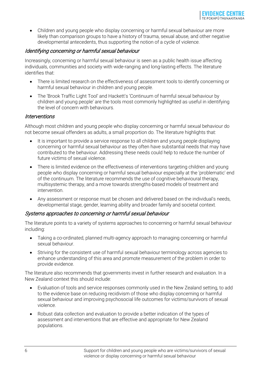• Children and young people who display concerning or harmful sexual behaviour are more likely than comparison groups to have a history of trauma, sexual abuse, and other negative developmental antecedents, thus supporting the notion of a cycle of violence.

#### Identifying concerning or harmful sexual behaviour

Increasingly, concerning or harmful sexual behaviour is seen as a public health issue affecting individuals, communities and society with wide-ranging and long-lasting effects. The literature identifies that:

- There is limited research on the effectiveness of assessment tools to identify concerning or harmful sexual behaviour in children and young people.
- The 'Brook Traffic Light Tool' and Hackett's 'Continuum of harmful sexual behaviour by children and young people' are the tools most commonly highlighted as useful in identifying the level of concern with behaviours.

#### **Interventions**

Although most children and young people who display concerning or harmful sexual behaviour do not become sexual offenders as adults, a small proportion do. The literature highlights that:

- It is important to provide a service response to all children and young people displaying concerning or harmful sexual behaviour as they often have substantial needs that may have contributed to the behaviour. Addressing these needs could help to reduce the number of future victims of sexual violence.
- There is limited evidence on the effectiveness of interventions targeting children and young people who display concerning or harmful sexual behaviour especially at the 'problematic' end of the continuum. The literature recommends the use of cognitive behavioural therapy, multisystemic therapy, and a move towards strengths-based models of treatment and intervention.
- Any assessment or response must be chosen and delivered based on the individual's needs, developmental stage, gender, learning ability and broader family and societal context*.*

#### Systems approaches to concerning or harmful sexual behaviour

The literature points to a variety of systems approaches to concerning or harmful sexual behaviour including:

- Taking a co-ordinated, planned multi-agency approach to managing concerning or harmful sexual behaviour.
- Striving for the consistent use of harmful sexual behaviour terminology across agencies to enhance understanding of this area and promote measurement of the problem in order to provide evidence.

The literature also recommends that governments invest in further research and evaluation. In a New Zealand context this should include:

- Evaluation of tools and service responses commonly used in the New Zealand setting, to add to the evidence base on reducing recidivism of those who display concerning or harmful sexual behaviour and improving psychosocial life outcomes for victims/survivors of sexual violence.
- Robust data collection and evaluation to provide a better indication of the types of assessment and interventions that are effective and appropriate for New Zealand populations.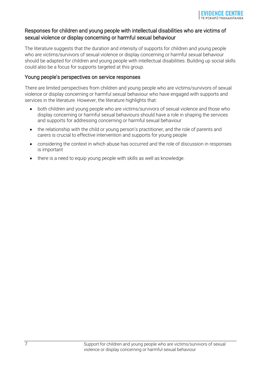#### Responses for children and young people with intellectual disabilities who are victims of sexual violence or display concerning or harmful sexual behaviour

The literature suggests that the duration and intensity of supports for children and young people who are victims/survivors of sexual violence or display concerning or harmful sexual behaviour should be adapted for children and young people with intellectual disabilities. Building up social skills could also be a focus for supports targeted at this group.

#### Young people's perspectives on service responses

There are limited perspectives from children and young people who are victims/survivors of sexual violence or display concerning or harmful sexual behaviour who have engaged with supports and services in the literature. However, the literature highlights that:

- both children and young people who are victims/survivors of sexual violence and those who display concerning or harmful sexual behaviours should have a role in shaping the services and supports for addressing concerning or harmful sexual behaviour
- the relationship with the child or young person's practitioner, and the role of parents and carers is crucial to effective intervention and supports for young people
- considering the context in which abuse has occurred and the role of discussion in responses is important
- there is a need to equip young people with skills as well as knowledge.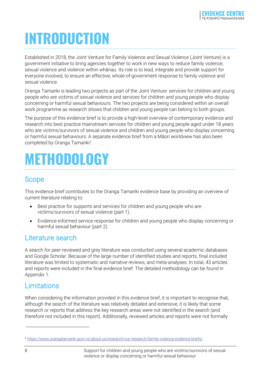## <span id="page-7-0"></span>**INTRODUCTION**

Established in 2018, the Joint Venture for Family Violence and Sexual Violence (Joint Venture) is a government initiative to bring agencies together to work in new ways to reduce family violence, sexual violence and violence within whānau. Its role is to lead, integrate and provide support for everyone involved, to ensure an effective, whole-of-government response to family violence and sexual violence.

Oranga Tamariki is leading two projects as part of the Joint Venture: services for children and young people who are victims of sexual violence and services for children and young people who display concerning or harmful sexual behaviours. The two projects are being considered within an overall work programme as research shows that children and young people can belong to both groups.

The purpose of this evidence brief is to provide a high-level overview of contemporary evidence and research into best practice mainstream services for children and young people aged under 18 years who are victims/survivors of sexual violence and children and young people who display concerning or harmful sexual behaviours. A separate evidence brief from a Māori worldview has also been completed by Oranga Tamariki<sup>[1](#page-7-5)</sup>.

## <span id="page-7-1"></span>**METHODOLOGY**

## <span id="page-7-2"></span>Scope

This evidence brief contributes to the Oranga Tamariki evidence base by providing an overview of current literature relating to:

- Best practice for supports and services for children and young people who are victims/survivors of sexual violence (part 1).
- Evidence-informed service response for children and young people who display concerning or harmful sexual behaviour (part 2).

### <span id="page-7-3"></span>Literature search

A search for peer-reviewed and grey literature was conducted using several academic databases and Google Scholar. Because of the large number of identified studies and reports, final included literature was limited to systematic and narrative reviews, and meta-analyses. In total, 43 articles and reports were included in the final evidence brief. The detailed methodology can be found in Appendix 1.

## <span id="page-7-4"></span>**Limitations**

When considering the information provided in this evidence brief, it is important to recognise that, although the search of the literature was relatively detailed and extensive, it is likely that some research or reports that address the key research areas were not identified in the search (and therefore not included in this report). Additionally, reviewed articles and reports were not formally

<span id="page-7-5"></span><sup>1</sup> https://www.orangatamariki.govt.nz/about[-us/research/our-research/family-violence-evidence-briefs/](https://www.orangatamariki.govt.nz/about-us/research/our-research/family-violence-evidence-briefs/)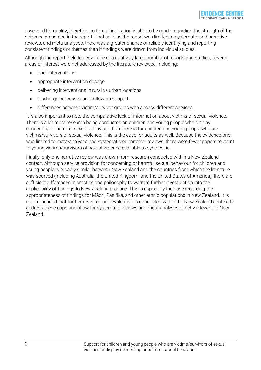assessed for quality, therefore no formal indication is able to be made regarding the strength of the evidence presented in the report. That said, as the report was limited to systematic and narrative reviews, and meta-analyses, there was a greater chance of reliably identifying and reporting consistent findings or themes than if findings were drawn from individual studies.

Although the report includes coverage of a relatively large number of reports and studies, several areas of interest were not addressed by the literature reviewed, including:

- brief interventions
- appropriate intervention dosage
- delivering interventions in rural vs urban locations
- discharge processes and follow-up support
- differences between victim/survivor groups who access different services.

It is also important to note the comparative lack of information about victims of sexual violence. There is a lot more research being conducted on children and young people who display concerning or harmful sexual behaviour than there is for children and young people who are victims/survivors of sexual violence. This is the case for adults as well. Because the evidence brief was limited to meta-analyses and systematic or narrative reviews, there were fewer papers relevant to young victims/survivors of sexual violence available to synthesise.

Finally, only one narrative review was drawn from research conducted within a New Zealand context. Although service provision for concerning or harmful sexual behaviour for children and young people is broadly similar between New Zealand and the countries from which the literature was sourced (including Australia, the United Kingdom and the United States of America), there are sufficient differences in practice and philosophy to warrant further investigation into the applicability of findings to New Zealand practice. This is especially the case regarding the appropriateness of findings for Māori, Pasifika, and other ethnic populations in New Zealand. It is recommended that further research and evaluation is conducted within the New Zealand context to address these gaps and allow for systematic reviews and meta-analyses directly relevant to New Zealand.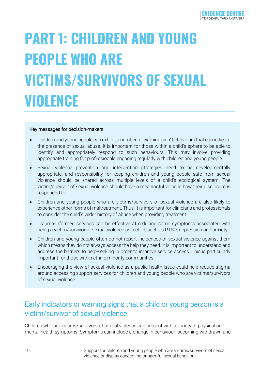## <span id="page-9-0"></span>**PART 1: CHILDREN AND YOUNG PEOPLE WHO ARE VICTIMS/SURVIVORS OF SEXUAL VIOLENCE**

#### Key messages for decision-makers

- Children and young people can exhibit a number of 'warning sign' behaviours that can indicate the presence of sexual abuse. It is important for those within a child's sphere to be able to identify and appropriately respond to such behaviours. This may involve providing appropriate training for professionals engaging regularly with children and young people.
- Sexual violence prevention and intervention strategies need to be developmentally appropriate, and responsibility for keeping children and young people safe from sexual violence should be shared across multiple levels of a child's ecological system. The victim/survivor of sexual violence should have a meaningful voice in how their disclosure is responded to.
- Children and young people who are victims/survivors of sexual violence are also likely to experience other forms of maltreatment. Thus, it is important for clinicians and professionals to consider the child's wider history of abuse when providing treatment.
- Trauma-informed services can be effective at reducing some symptoms associated with being a victim/survivor of sexual violence as a child, such as PTSD, depression and anxiety.
- Children and young people often do not report incidences of sexual violence against them which means they do not always access the help they need. It is important to understand and address the barriers to help-seeking in order to improve service access. This is particularly important for those within ethnic minority communities.
- Encouraging the view of sexual violence as a public health issue could help reduce stigma around accessing support services for children and young people who are victims/survivors of sexual violence.

### <span id="page-9-1"></span>Early indicators or warning signs that a child or young person is a victim/survivor of sexual violence

Children who are victims/survivors of sexual violence can present with a variety of physical and mental health symptoms. Symptoms can include a change in behaviour, becoming withdrawn and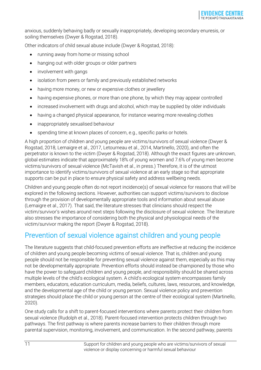anxious, suddenly behaving badly or sexually inappropriately, developing secondary enuresis, or soiling themselves (Dwyer & Rogstad, 2018).

Other indicators of child sexual abuse include (Dwyer & Rogstad, 2018):

- running away from home or missing school
- hanging out with older groups or older partners
- involvement with gangs
- isolation from peers or family and previously established networks
- having more money, or new or expensive clothes or jewellery
- having expensive phones, or more than one phone, by which they may appear controlled
- increased involvement with drugs and alcohol, which may be supplied by older individuals
- having a changed physical appearance, for instance wearing more revealing clothes
- inappropriately sexualised behaviour
- spending time at known places of concern, e.g., specific parks or hotels.

A high proportion of children and young people are victims/survivors of sexual violence (Dwyer & Rogstad, 2018, Lemaigre et al., 2017, Letourneau et al., 2014, Martinello, 2020), and often the perpetrator is known to the victim (Dwyer & Rogstad, 2018). Although the exact figures are unknown, global estimates indicate that approximately 18% of young women and 7.6% of young men become victims/survivors of sexual violence (McTavish et al., in press.) Therefore, it is of the utmost importance to identify victims/survivors of sexual violence at an early stage so that appropriate supports can be put in place to ensure physical safety and address wellbeing needs.

Children and young people often do not report incidence(s) of sexual violence for reasons that will be explored in the following sections. However, authorities can support victims/survivors to disclose through the provision of developmentally appropriate tools and information about sexual abuse (Lemaigre et al., 2017). That said, the literature stresses that clinicians should respect the victim/survivor's wishes around next steps following the disclosure of sexual violence. The literature also stresses the importance of considering both the physical and physiological needs of the victim/survivor making the report (Dwyer & Rogstad, 2018).

## <span id="page-10-0"></span>Prevention of sexual violence against children and young people

The literature suggests that child-focused prevention efforts are ineffective at reducing the incidence of children and young people becoming victims of sexual violence. That is, children and young people should not be responsible for preventing sexual violence against them, especially as this may not be developmentally appropriate. Prevention efforts should instead be championed by those who have the power to safeguard children and young people, and responsibility should be shared across multiple levels of the child's ecological system. A child's ecological system encompasses family members, educators, education curriculum, media, beliefs, cultures, laws, resources, and knowledge, and the developmental age of the child or young person. Sexual violence policy and prevention strategies should place the child or young person at the centre of their ecological system (Martinello, 2020).

One study calls for a shift to parent-focused interventions where parents protect their children from sexual violence (Rudolph et al., 2018). Parent-focused intervention protects children through two pathways. The first pathway is where parents increase barriers to their children through more parental supervision, monitoring, involvement, and communication. In the second pathway, parents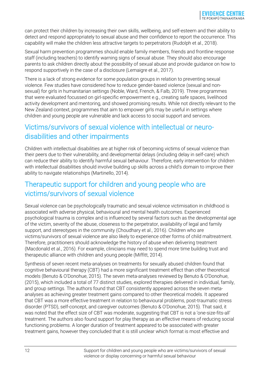can protect their children by increasing their own skills, wellbeing, and self-esteem and their ability to detect and respond appropriately to sexual abuse and their confidence to report the occurrence. This capability will make the children less attractive targets to perpetrators (Rudolph et al., 2018).

Sexual harm prevention programmes should enable family members, friends and frontline response staff (including teachers) to identify warning signs of sexual abuse. They should also encourage parents to ask children directly about the possibility of sexual abuse and provide guidance on how to respond supportively in the case of a disclosure (Lemaigre et al., 2017).

There is a lack of strong evidence for some population groups in relation to preventing sexual violence. Few studies have considered how to reduce gender-based violence (sexual and nonsexual) for girls in humanitarian settings (Noble, Ward, French, & Falb, 2019). Three programmes that were evaluated focussed on girl-specific empowerment e.g., creating safe spaces, livelihood activity development and mentoring, and showed promising results. While not directly relevant to the New Zealand context, programmes that aim to empower girls may be useful in settings where children and young people are vulnerable and lack access to social support and services.

## <span id="page-11-0"></span>Victims/survivors of sexual violence with intellectual or neurodisabilities and other impairments

Children with intellectual disabilities are at higher risk of becoming victims of sexual violence than their peers due to their vulnerability, and developmental delays (including delay in self-care) which can reduce their ability to identify harmful sexual behaviour. Therefore, early intervention for children with intellectual disabilities should involve building up skills across a child's domain to improve their ability to navigate relationships (Martinello, 2014).

### <span id="page-11-1"></span>Therapeutic support for children and young people who are victims/survivors of sexual violence

Sexual violence can be psychologically traumatic and sexual violence victimisation in childhood is associated with adverse physical, behavioural and mental health outcomes. Experienced psychological trauma is complex and is influenced by several factors such as the developmental age of the victim, severity of the abuse, closeness to the perpetrator, availability of legal and family support, and stereotypes in the community (Choudhary et al., 2016). Children who are victims/survivors of sexual violence are also likely to experience other forms of child maltreatment. Therefore, practitioners should acknowledge the history of abuse when delivering treatment (Macdonald et al., 2016). For example, clinicians may need to spend more time building trust and therapeutic alliance with children and young people (Miffitt, 2014).

Synthesis of seven recent meta-analyses on treatments for sexually abused children found that cognitive behavioural therapy (CBT) had a more significant treatment effect than other theoretical models (Benuto & O'Donohue, 2015). The seven meta-analyses reviewed by Benuto & O'Donohue, (2015), which included a total of 77 distinct studies, explored therapies delivered in individual, family, and group settings. The authors found that CBT consistently appeared across the seven metaanalyses as achieving greater treatment gains compared to other theoretical models. It appeared that CBT was a more effective treatment in relation to behavioural problems, post-traumatic stress disorder (PTSD), self-concept, and caregiver outcomes (Benuto & O'Donohue, 2015). That said, it was noted that the effect size of CBT was moderate, suggesting that CBT is not a 'one-size-fits-all' treatment. The authors also found support for play therapy as an effective means of reducing social functioning problems. A longer duration of treatment appeared to be associated with greater treatment gains, however they concluded that it is still unclear which format is most effective and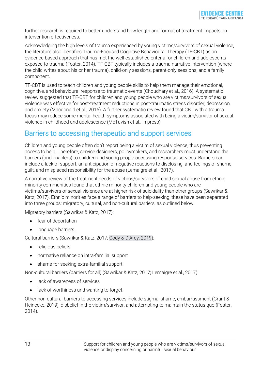further research is required to better understand how length and format of treatment impacts on intervention effectiveness.

Acknowledging the high levels of trauma experienced by young victims/survivors of sexual violence, the literature also identifies Trauma-Focused Cognitive Behavioural Therapy (TF-CBT) as an evidence-based approach that has met the well-established criteria for children and adolescents exposed to trauma (Foster, 2014). TF-CBT typically includes a trauma narrative intervention (where the child writes about his or her trauma), child-only sessions, parent-only sessions, and a family component.

TF-CBT is used to teach children and young people skills to help them manage their emotional, cognitive, and behavioural response to traumatic events (Choudhary et al., 2016). A systematic review suggested that TF-CBT for children and young people who are victims/survivors of sexual violence was effective for post-treatment reductions in post-traumatic stress disorder, depression, and anxiety (Macdonald et al., 2016). A further systematic review found that CBT with a trauma focus may reduce some mental health symptoms associated with being a victim/survivor of sexual violence in childhood and adolescence (McTavish et al., in press).

### <span id="page-12-0"></span>Barriers to accessing therapeutic and support services

Children and young people often don't report being a victim of sexual violence, thus preventing access to help. Therefore, service designers, policymakers, and researchers must understand the barriers (and enablers) to children and young people accessing response services. Barriers can include a lack of support, an anticipation of negative reactions to disclosing, and feelings of shame, guilt, and misplaced responsibility for the abuse (Lemaigre et al., 2017).

A narrative review of the treatment needs of victims/survivors of child sexual abuse from ethnic minority communities found that ethnic minority children and young people who are victims/survivors of sexual violence are at higher risk of suicidality than other groups (Sawrikar & Katz, 2017). Ethnic minorities face a range of barriers to help-seeking; these have been separated into three groups: migratory, cultural, and non-cultural barriers, as outlined below.

Migratory barriers (Sawrikar & Katz, 2017):

- fear of deportation
- language barriers.

Cultural barriers (Sawrikar & Katz, 2017; Cody & D'Arcy, 2019):

- religious beliefs
- normative reliance on intra-familial support
- shame for seeking extra-familial support.

Non-cultural barriers (barriers for all) (Sawrikar & Katz, 2017; Lemaigre et al., 2017):

- lack of awareness of services
- lack of worthiness and wanting to forget.

Other non-cultural barriers to accessing services include stigma, shame, embarrassment (Grant & Heinecke, 2019), disbelief in the victim/survivor, and attempting to maintain the status quo (Foster, 2014).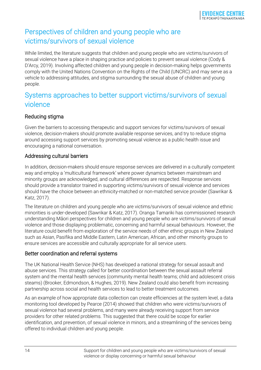## <span id="page-13-0"></span>Perspectives of children and young people who are victims/survivors of sexual violence

While limited, the literature suggests that children and young people who are victims/survivors of sexual violence have a place in shaping practice and policies to prevent sexual violence (Cody & D'Arcy, 2019). Involving affected children and young people in decision-making helps governments comply with the United Nations Convention on the Rights of the Child (UNCRC) and may serve as a vehicle to addressing attitudes, and stigma surrounding the sexual abuse of children and young people.

## <span id="page-13-1"></span>Systems approaches to better support victims/survivors of sexual violence

#### Reducing stigma

Given the barriers to accessing therapeutic and support services for victims/survivors of sexual violence, decision-makers should promote available response services, and try to reduce stigma around accessing support services by promoting sexual violence as a public health issue and encouraging a national conversation.

#### Addressing cultural barriers

In addition, decision-makers should ensure response services are delivered in a culturally competent way and employ a 'multicultural framework' where power dynamics between mainstream and minority groups are acknowledged, and cultural differences are respected. Response services should provide a translator trained in supporting victims/survivors of sexual violence and services should have the choice between an ethnicity-matched or non-matched service provider (Sawrikar & Katz, 2017).

The literature on children and young people who are victims/survivors of sexual violence and ethnic minorities is under-developed (Sawrikar & Katz, 2017). Oranga Tamariki has commissioned research understanding Māori perspectives for children and young people who are victims/survivors of sexual violence and those displaying problematic, concerning and harmful sexual behaviours. However, the literature could benefit from exploration of the service needs of other ethnic groups in New Zealand such as Asian, Pasifika and Middle Eastern, Latin American, African, and other minority groups to ensure services are accessible and culturally appropriate for all service users.

#### Better coordination and referral systems

The UK National Health Service (NHS) has developed a national strategy for sexual assault and abuse services. This strategy called for better coordination between the sexual assault referral system and the mental health services (community mental health teams; child and adolescent crisis steams) (Brooker, Edmondson, & Hughes, 2019). New Zealand could also benefit from increasing partnership across social and health services to lead to better treatment outcomes.

As an example of how appropriate data collection can create efficiencies at the system level, a data monitoring tool developed by Pearce (2014) showed that children who were victims/survivors of sexual violence had several problems, and many were already receiving support from service providers for other related problems. This suggested that there could be scope for earlier identification, and prevention, of sexual violence in minors, and a streamlining of the services being offered to individual children and young people.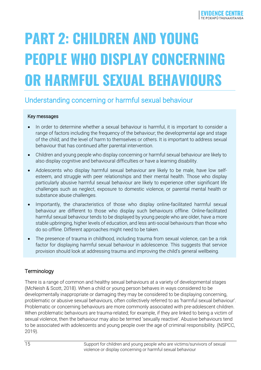# <span id="page-14-0"></span>**PART 2: CHILDREN AND YOUNG PEOPLE WHO DISPLAY CONCERNING OR HARMFUL SEXUAL BEHAVIOURS**

## <span id="page-14-1"></span>Understanding concerning or harmful sexual behaviour

#### Key messages

- In order to determine whether a sexual behaviour is harmful, it is important to consider a range of factors including the frequency of the behaviour; the developmental age and stage of the child; and the level of harm to themselves or others. It is important to address sexual behaviour that has continued after parental intervention.
- Children and young people who display concerning or harmful sexual behaviour are likely to also display cognitive and behavioural difficulties or have a learning disability.
- Adolescents who display harmful sexual behaviour are likely to be male, have low selfesteem, and struggle with peer relationships and their mental health. Those who display particularly abusive harmful sexual behaviour are likely to experience other significant life challenges such as neglect, exposure to domestic violence, or parental mental health or substance abuse challenges.
- Importantly, the characteristics of those who display online-facilitated harmful sexual behaviour are different to those who display such behaviours offline. Online-facilitated harmful sexual behaviour tends to be displayed by young people who are older, have a more stable upbringing, higher levels of education, and less anti-social behaviours than those who do so offline. Different approaches might need to be taken.
- The presence of trauma in childhood, including trauma from sexual violence, can be a risk factor for displaying harmful sexual behaviour in adolescence. This suggests that service provision should look at addressing trauma and improving the child's general wellbeing.

#### **Terminology**

There is a range of common and healthy sexual behaviours at a variety of developmental stages (McNeish & Scott, 2018). When a child or young person behaves in ways considered to be developmentally inappropriate or damaging they may be considered to be displaying concerning, problematic or abusive sexual behaviours, often collectively referred to as 'harmful sexual behaviour'. Problematic or concerning behaviours are more commonly associated with pre-adolescent children. When problematic behaviours are trauma-related; for example, if they are linked to being a victim of sexual violence, then the behaviour may also be termed 'sexually reactive'. Abusive behaviours tend to be associated with adolescents and young people over the age of criminal responsibility. (NSPCC, 2019).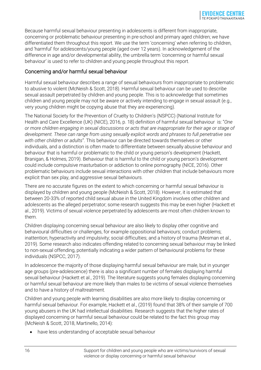Because harmful sexual behaviour presenting in adolescents is different from inappropriate, concerning or problematic behaviour presenting in pre-school and primary aged children; we have differentiated them throughout this report. We use the term 'concerning' when referring to children, and 'harmful' for adolescents/young people (aged over 12 years). In acknowledgement of the difference in age and/or developmental ability, the umbrella term 'concerning or harmful sexual behaviour' is used to refer to children and young people throughout this report.

#### Concerning and/or harmful sexual behaviour

Harmful sexual behaviour describes a range of sexual behaviours from inappropriate to problematic to abusive to violent (McNeish & Scott, 2018). Harmful sexual behaviour can be used to describe sexual assault perpetrated by children and young people. This is to acknowledge that sometimes children and young people may not be aware or actively intending to engage in sexual assault (e.g., very young children might be copying abuse that they are experiencing).

The National Society for the Prevention of Cruelty to Children's (NSPCC) (National Institute for Health and Care Excellence (UK) (NICE), 2016, p. 18) definition of harmful sexual behaviour is: "*One or more children engaging in sexual discussions or acts that are inappropriate for their age or stage of development. These can range from using sexually explicit words and phrases to full penetrative sex with other children or adults*". This behaviour can be directed towards themselves or other individuals, and a distinction is often made to differentiate between sexually abusive behaviour and behaviour that is harmful or problematic to the child or young person's development (Hackett, Branigan, & Holmes, 2019). Behaviour that is harmful to the child or young person's development could include compulsive masturbation or addiction to online pornography (NICE, 2016). Other problematic behaviours include sexual interactions with other children that include behaviours more explicit than sex play, and aggressive sexual behaviours.

There are no accurate figures on the extent to which concerning or harmful sexual behaviour is displayed by children and young people (McNeish & Scott, 2018). However, it is estimated that between 20-33% of reported child sexual abuse in the United Kingdom involves other children and adolescents as the alleged perpetrator; some research suggests this may be even higher (Hackett et al., 2019). Victims of sexual violence perpetrated by adolescents are most often children known to them.

Children displaying concerning sexual behaviour are also likely to display other cognitive and behavioural difficulties or challenges, for example oppositional behaviours; conduct problems; inattention; hyperactivity and impulsivity; social difficulties; and a history of trauma (Mesman et al., 2019). Some research also indicates offending related to concerning sexual behaviour may be linked to non-sexual offending, potentially indicating a wider pattern of behavioural problems for these individuals (NSPCC, 2017).

In adolescence the majority of those displaying harmful sexual behaviour are male, but in younger age groups (pre-adolescence) there is also a significant number of females displaying harmful sexual behaviour (Hackett et al., 2019). The literature suggests young females displaying concerning or harmful sexual behaviour are more likely than males to be victims of sexual violence themselves and to have a history of maltreatment.

Children and young people with learning disabilities are also more likely to display concerning or harmful sexual behaviour. For example, Hackett et al., (2019) found that 38% of their sample of 700 young abusers in the UK had intellectual disabilities. Research suggests that the higher rates of displayed concerning or harmful sexual behaviour could be related to the fact this group may (McNeish & Scott, 2018, Martinello, 2014):

have less understanding of acceptable sexual behaviour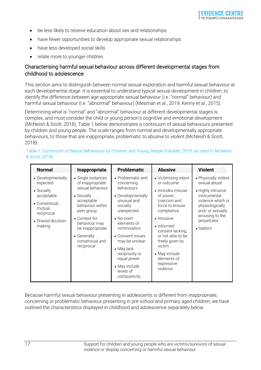- be less likely to receive education about sex and relationships
- have fewer opportunities to develop appropriate sexual relationships
- have less developed social skills
- relate more to younger children.

#### Characterising harmful sexual behaviour across different developmental stages from childhood to adolescence

This section aims to distinguish between normal sexual exploration and harmful sexual behaviour at each developmental stage. It is essential to understand typical sexual development in children, to identify the difference between age-appropriate sexual behaviour (i.e. "normal" behaviour) and harmful sexual behaviour (i.e. "abnormal" behaviour) (Mesman et al., 2019, Kenny et al., 2015).

Determining what is "normal" and "abnormal" behaviour at different developmental stages is complex, and must consider the child or young person's cognitive and emotional development (McNeish & Scott, 2018). Table 1 below demonstrates a continuum of sexual behaviours presented by children and young people. The scale ranges from normal and developmentally appropriate behaviours, to those that are inappropriate, problematic to abusive to violent (McNeish & Scott, 2018).

| <b>Normal</b>                                        | Inappropriate                                                                                     | <b>Problematic</b>                                                                                                                                                            | <b>Abusive</b>                                                                                                                                            | <b>Violent</b>                                                                                 |
|------------------------------------------------------|---------------------------------------------------------------------------------------------------|-------------------------------------------------------------------------------------------------------------------------------------------------------------------------------|-----------------------------------------------------------------------------------------------------------------------------------------------------------|------------------------------------------------------------------------------------------------|
| • Developmentally<br>expected                        | • Single instances<br>of inappropriate                                                            | • Problematic and<br>concerning                                                                                                                                               | • Victimising intent<br>or outcome                                                                                                                        | • Physically violent<br>sexual abuse                                                           |
| • Socially<br>acceptable<br>• Consensual,<br>mutual, | sexual behaviour<br>• Socially<br>acceptable<br>behaviour within<br>peer group                    | behaviours<br>• Developmentally<br>unusual and<br>socially<br>unexpected                                                                                                      | • Includes misuse<br>of power,<br>coercion and<br>force to ensure<br>compliance                                                                           | • Highly intrusive<br>instrumental<br>violence which is<br>physiologically<br>and/ or sexually |
| reciprocal<br>• Shared decision-<br>making           | • Context for<br>behaviour may<br>be inappropriate<br>• Generally<br>consensual and<br>reciprocal | • No overt<br>elements of<br>victimisation<br>• Consent issues<br>may be unclear<br>• May lack<br>reciprocity or<br>equal power<br>• May include<br>levels of<br>compulsivity | • Intrusive<br>• Informed<br>consent lacking,<br>or not able to be<br>freely given by<br>victim<br>• May include<br>elements of<br>expressive<br>violence | arousing to the<br>perpetrator<br>• Sadism                                                     |

Table 1. Continuum of Sexual Behaviours by Children and Young People (Hackett, 2010, as cited in McNeish & Scott, 2018)

Because harmful sexual behaviour presenting in adolescents is different from inappropriate, concerning or problematic behaviour presenting in pre-school and primary aged children; we have outlined the characteristics displayed in childhood and adolescence separately below.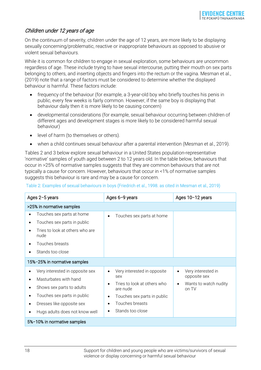#### Children under 12 years of age

On the continuum of severity, children under the age of 12 years, are more likely to be displaying sexually concerning/problematic, reactive or inappropriate behaviours as opposed to abusive or violent sexual behaviours.

While it is common for children to engage in sexual exploration, some behaviours are uncommon regardless of age. These include trying to have sexual intercourse, putting their mouth on sex parts belonging to others, and inserting objects and fingers into the rectum or the vagina. Mesman et al., (2019) note that a range of factors must be considered to determine whether the displayed behaviour is harmful. These factors include:

- frequency of the behaviour (for example, a 3-year-old boy who briefly touches his penis in public, every few weeks is fairly common. However, if the same boy is displaying that behaviour daily then it is more likely to be causing concern)
- developmental considerations (for example, sexual behaviour occurring between children of different ages and development stages is more likely to be considered harmful sexual behaviour)
- level of harm (to themselves or others).
- when a child continues sexual behaviour after a parental intervention (Mesman et al., 2019).

Tables 2 and 3 below explore sexual behaviour in a United States population-representative 'normative' samples of youth aged between 2 to 12 years old. In the table below, behaviours that occur in >25% of normative samples suggests that they are common behaviours that are not typically a cause for concern. However, behaviours that occur in <1% of normative samples suggests this behaviour is rare and may be a cause for concern.

#### Table 2: Examples of sexual behaviours in boys (Friedrich et al., 1998. as cited in Mesman et al., 2019)

| Ages 2-5 years                                     | Ages 6-9 years                                       | Ages 10-12 years                   |
|----------------------------------------------------|------------------------------------------------------|------------------------------------|
| >25% in normative samples                          |                                                      |                                    |
| Touches sex parts at home<br>$\bullet$             | Touches sex parts at home<br>$\bullet$               |                                    |
| Touches sex parts in public                        |                                                      |                                    |
| Tries to look at others who are<br>nude            |                                                      |                                    |
| Touches breasts                                    |                                                      |                                    |
| Stands too close                                   |                                                      |                                    |
| 15%-25% in normative samples                       |                                                      |                                    |
| Very interested in opposite sex                    | Very interested in opposite<br>$\bullet$<br>sex      | Very interested in<br>opposite sex |
| Masturbates with hand<br>Shows sex parts to adults | Tries to look at others who<br>$\bullet$<br>are nude | Wants to watch nudity<br>on TV     |
| Touches sex parts in public                        | Touches sex parts in public<br>$\bullet$             |                                    |
| Dresses like opposite sex                          | Touches breasts<br>$\bullet$                         |                                    |
| Hugs adults does not know well                     | Stands too close<br>$\bullet$                        |                                    |
| 5%-10% in normative samples                        |                                                      |                                    |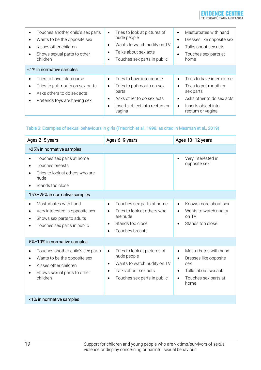

| Touches another child's sex parts<br>$\bullet$<br>Wants to be the opposite sex<br>Kisses other children<br>Shows sexual parts to other<br>children | Tries to look at pictures of<br>$\bullet$<br>nude people<br>Wants to watch nudity on TV<br>$\bullet$<br>Talks about sex acts<br>$\bullet$<br>Touches sex parts in public<br>٠       | Masturbates with hand<br>$\bullet$<br>Dresses like opposite sex<br>$\bullet$<br>Talks about sex acts<br>٠<br>Touches sex parts at<br>٠<br>home                                              |
|----------------------------------------------------------------------------------------------------------------------------------------------------|-------------------------------------------------------------------------------------------------------------------------------------------------------------------------------------|---------------------------------------------------------------------------------------------------------------------------------------------------------------------------------------------|
| <1% in normative samples                                                                                                                           |                                                                                                                                                                                     |                                                                                                                                                                                             |
| Tries to have intercourse<br>Tries to put mouth on sex parts<br>Asks others to do sex acts<br>Pretends toys are having sex                         | Tries to have intercourse<br>$\bullet$<br>Tries to put mouth on sex<br>$\bullet$<br>parts<br>Asks other to do sex acts<br>$\bullet$<br>Inserts object into rectum or<br>٠<br>vagina | Tries to have intercourse<br>$\bullet$<br>Tries to put mouth on<br>$\bullet$<br>sex parts<br>Asks other to do sex acts<br>$\bullet$<br>Inserts object into<br>$\bullet$<br>rectum or vagina |

#### Table 3: Examples of sexual behaviours in girls (Friedrich et al., 1998. as cited in Mesman et al., 2019)

| Ages 2-5 years                                                                                                                                                  | Ages 6-9 years                                                                                                                                                                        | Ages 10-12 years                                                                                                                                                  |  |  |
|-----------------------------------------------------------------------------------------------------------------------------------------------------------------|---------------------------------------------------------------------------------------------------------------------------------------------------------------------------------------|-------------------------------------------------------------------------------------------------------------------------------------------------------------------|--|--|
| >25% in normative samples                                                                                                                                       |                                                                                                                                                                                       |                                                                                                                                                                   |  |  |
| Touches sex parts at home<br>$\bullet$<br>Touches breasts<br>Tries to look at others who are<br>nude<br>Stands too close                                        |                                                                                                                                                                                       | Very interested in<br>$\bullet$<br>opposite sex                                                                                                                   |  |  |
| 15%-25% in normative samples                                                                                                                                    |                                                                                                                                                                                       |                                                                                                                                                                   |  |  |
| Masturbates with hand<br>$\bullet$<br>Very interested in opposite sex<br>$\bullet$<br>Shows sex parts to adults<br>Touches sex parts in public                  | Touches sex parts at home<br>$\bullet$<br>Tries to look at others who<br>$\bullet$<br>are nude<br>Stands too close<br>$\bullet$<br>Touches breasts                                    | Knows more about sex<br>$\bullet$<br>Wants to watch nudity<br>$\bullet$<br>on TV<br>Stands too close<br>$\bullet$                                                 |  |  |
| 5%-10% in normative samples                                                                                                                                     |                                                                                                                                                                                       |                                                                                                                                                                   |  |  |
| Touches another child's sex parts<br>$\bullet$<br>Wants to be the opposite sex<br>$\bullet$<br>Kisses other children<br>Shows sexual parts to other<br>children | Tries to look at pictures of<br>$\bullet$<br>nude people<br>Wants to watch nudity on TV<br>$\bullet$<br>Talks about sex acts<br>$\bullet$<br>Touches sex parts in public<br>$\bullet$ | Masturbates with hand<br>$\bullet$<br>Dresses like opposite<br>$\bullet$<br>sex<br>Talks about sex acts<br>$\bullet$<br>Touches sex parts at<br>$\bullet$<br>home |  |  |
| <1% in normative samples                                                                                                                                        |                                                                                                                                                                                       |                                                                                                                                                                   |  |  |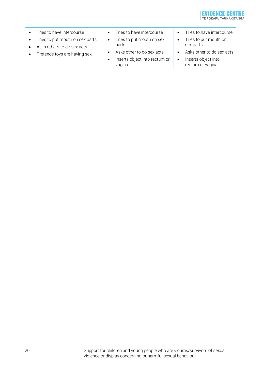

• Tries to have intercourse • Tries to put mouth on sex parts • Asks others to do sex acts • Pretends toys are having sex • Tries to have intercourse • Tries to put mouth on sex parts • Asks other to do sex acts • Inserts object into rectum or vagina • Tries to have intercourse • Tries to put mouth on sex parts • Asks other to do sex acts • Inserts object into rectum or vagina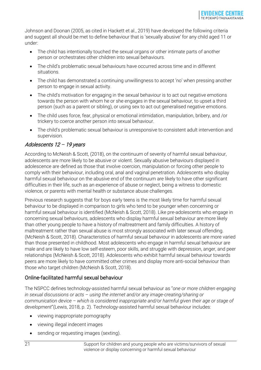Johnson and Doonan (2005, as cited in Hackett et al., 2019) have developed the following criteria and suggest all should be met to define behaviour that is 'sexually abusive' for any child aged 11 or under:

- The child has intentionally touched the sexual organs or other intimate parts of another person or orchestrates other children into sexual behaviours.
- The child's problematic sexual behaviours have occurred across time and in different situations.
- The child has demonstrated a continuing unwillingness to accept 'no' when pressing another person to engage in sexual activity.
- The child's motivation for engaging in the sexual behaviour is to act out negative emotions towards the person with whom he or she engages in the sexual behaviour, to upset a third person (such as a parent or sibling), or using sex to act out generalised negative emotions.
- The child uses force, fear, physical or emotional intimidation, manipulation, bribery, and /or trickery to coerce another person into sexual behaviour.
- The child's problematic sexual behaviour is unresponsive to consistent adult intervention and supervision.

#### Adolescents 12 – 19 years

According to McNeish & Scott, (2018), on the continuum of severity of harmful sexual behaviour, adolescents are more likely to be abusive or violent. Sexually abusive behaviours displayed in adolescence are defined as those that involve coercion, manipulation or forcing other people to comply with their behaviour, including oral, anal and vaginal penetration. Adolescents who display harmful sexual behaviour on the abusive end of the continuum are likely to have other significant difficulties in their life, such as an experience of abuse or neglect, being a witness to domestic violence, or parents with mental health or substance abuse challenges.

Previous research suggests that for boys early teens is the most likely time for harmful sexual behaviour to be displayed in comparison to girls who tend to be younger when concerning or harmful sexual behaviour is identified (McNeish & Scott, 2018). Like pre-adolescents who engage in concerning sexual behaviours, adolescents who display harmful sexual behaviour are more likely than other young people to have a history of maltreatment and family difficulties. A history of maltreatment rather than sexual abuse is most strongly associated with later sexual offending. (McNeish & Scott, 2018). Characteristics of harmful sexual behaviour in adolescents are more varied than those presented in childhood. Most adolescents who engage in harmful sexual behaviour are male and are likely to have low self-esteem, poor skills, and struggle with depression, anger, and peer relationships (McNeish & Scott, 2018). Adolescents who exhibit harmful sexual behaviour towards peers are more likely to have committed other crimes and display more anti-social behaviour than those who target children (McNeish & Scott, 2018).

#### Online-facilitated harmful sexual behaviour

The NSPCC defines technology-assisted harmful sexual behaviour as "*one or more children engaging in sexual discussions or acts – using the internet and/or any image-creating/sharing or communication device – which is considered inappropriate and/or harmful given their age or stage of development*"(Lewis, 2018, p. 2). Technology-assisted harmful sexual behaviour includes:

- viewing inappropriate pornography
- viewing illegal indecent images
- sending or requesting images (sexting).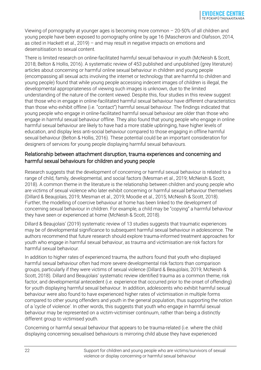Viewing of pornography at younger ages is becoming more common – 20-50% of all children and young people have been exposed to pornography online by age 16 (Mascheroni and Olafsson, 2014, as cited in Hackett et al., 2019) – and may result in negative impacts on emotions and desensitisation to sexual content.

There is limited research on online-facilitated harmful sexual behaviour in youth (McNeish & Scott, 2018; Belton & Hollis, 2016). A systematic review of 453 published and unpublished (grey literature) articles about concerning or harmful online sexual behaviour in children and young people (encompassing all sexual acts involving the internet or technology that are harmful to children and young people) found that while young people accessing indecent images of children is illegal, the developmental appropriateness of viewing such images is unknown, due to the limited understanding of the nature of the content viewed. Despite this, four studies in this review suggest that those who in engage in online-facilitated harmful sexual behaviour have different characteristics than those who exhibit offline (i.e. "contact") harmful sexual behaviour. The findings indicated that young people who engage in online-facilitated harmful sexual behaviour are older than those who engage in harmful sexual behaviour offline. They also found that young people who engage in online harmful sexual behaviour are likely to have had a more stable upbringing, have higher levels of education, and display less anti-social behaviour compared to those engaging in offline harmful sexual behaviour (Belton & Hollis, 2016). These potential could be an important consideration for designers of services for young people displaying harmful sexual behaviours.

#### Relationship between attachment disruption, trauma experiences and concerning and harmful sexual behaviours for children and young people

Research suggests that the development of concerning or harmful sexual behaviour is related to a range of child, family, developmental, and social factors (Mesman et al., 2019; McNeish & Scott, 2018). A common theme in the literature is the relationship between children and young people who are victims of sexual violence who later exhibit concerning or harmful sexual behaviour themselves (Dillard & Beaujolais, 2019; Mesman et al., 2019; Moodie et al., 2015; McNeish & Scott, 2018). Further, the modelling of coercive behaviour at home has been linked to the development of concerning sexual behaviour in children. For example, a child may be "copying" a harmful behaviour they have seen or experienced at home (McNeish & Scott, 2018).

Dillard & Beaujolais' (2019) systematic review of 13 studies suggests that traumatic experiences may be of developmental significance to subsequent harmful sexual behaviour in adolescence. The authors recommend that future research should explore trauma-informed treatment approaches for youth who engage in harmful sexual behaviour, as trauma and victimisation are risk factors for harmful sexual behaviour.

In addition to higher rates of experienced trauma, the authors found that youth who displayed harmful sexual behaviour often had more severe developmental risk factors than comparison groups, particularly if they were victims of sexual violence (Dillard & Beaujolais, 2019; McNeish & Scott, 2018). Dillard and Beaujolais' systematic review identified trauma as a common theme, risk factor, and developmental antecedent (i.e. experience that occurred prior to the onset of offending) for youth displaying harmful sexual behaviour. In addition, adolescents who exhibit harmful sexual behaviour were also found to have experienced higher rates of victimisation in multiple forms compared to other young offenders and youth in the general population, thus supporting the notion of a 'cycle of violence'. In other words, this suggests that youth who engage in harmful sexual behaviour may be represented on a victim-victimiser continuum, rather than being a distinctly different group to victimised youth.

Concerning or harmful sexual behaviour that appears to be trauma-related (i.e. where the child displaying concerning sexualised behaviours is mirroring child abuse they have experienced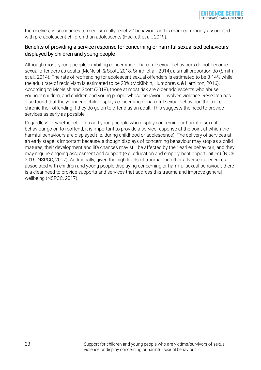themselves) is sometimes termed 'sexually reactive' behaviour and is more commonly associated with pre-adolescent children than adolescents (Hackett et al., 2019).

#### Benefits of providing a service response for concerning or harmful sexualised behaviours displayed by children and young people

Although most young people exhibiting concerning or harmful sexual behaviours do not become sexual offenders as adults (McNeish & Scott, 2018; Smith et al., 2014), a small proportion do (Smith et al., 2014). The rate of reoffending for adolescent sexual offenders is estimated to be 3-14% while the adult rate of recidivism is estimated to be 20% (McKibbin, Humphreys, & Hamilton, 2016). According to McNeish and Scott (2018), those at most risk are older adolescents who abuse younger children, and children and young people whose behaviour involves violence. Research has also found that the younger a child displays concerning or harmful sexual behaviour, the more chronic their offending if they do go on to offend as an adult. This suggests the need to provide services as early as possible.

Regardless of whether children and young people who display concerning or harmful sexual behaviour go on to reoffend, it is important to provide a service response at the point at which the harmful behaviours are displayed (i.e. during childhood or adolescence). The delivery of services at an early stage is important because, although displays of concerning behaviour may stop as a child matures, their development and life chances may still be affected by their earlier behaviour, and they may require ongoing assessment and support (e.g. education and employment opportunities) (NICE, 2016; NSPCC, 2017). Additionally, given the high levels of trauma and other adverse experiences associated with children and young people displaying concerning or harmful sexual behaviour, there is a clear need to provide supports and services that address this trauma and improve general wellbeing (NSPCC, 2017).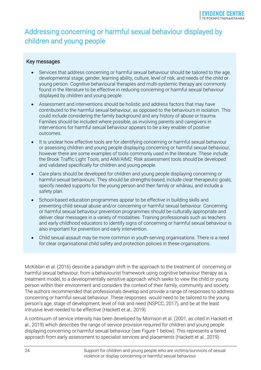## <span id="page-23-0"></span>Addressing concerning or harmful sexual behaviour displayed by children and young people

#### Key messages

- Services that address concerning or harmful sexual behaviour should be tailored to the age, developmental stage, gender, learning ability, culture, level of risk, and needs of the child or young person. Cognitive behavioural therapies and multi-systemic therapy are commonly found in the literature to be effective in reducing concerning or harmful sexual behaviour displayed by children and young people.
- Assessment and interventions should be holistic and address factors that may have contributed to the harmful sexual behaviour, as opposed to the behaviours in isolation. This could include considering the family background and any history of abuse or trauma. Families should be included where possible, as involving parents and caregivers in interventions for harmful sexual behaviour appears to be a key enabler of positive outcomes.
- It is unclear how effective tools are for identifying concerning or harmful sexual behaviour or assessing children and young people displaying concerning or harmful sexual behaviour, however there are some examples of tools commonly used in the literature. These include the Brook Traffic Light Tools, and AIM/AIM2. Risk assessment tools should be developed and validated specifically for children and young people.
- Care plans should be developed for children and young people displaying concerning or harmful sexual behaviours. They should be strengths-based, include clear therapeutic goals, specify needed supports for the young person and their family or whānau, and include a safety plan.
- School-based education programmes appear to be effective in building skills and preventing child sexual abuse and/or concerning or harmful sexual behaviour. Concerning or harmful sexual behaviour prevention programmes should be culturally appropriate and deliver clear messages in a variety of modalities. Training professionals such as teachers and early childhood educators to identify signs of concerning or harmful sexual behaviour is also important for prevention and early intervention.
- Child sexual assault may be more common in youth-serving organisations. There is a need for clear organisational child safety and protection policies in these organisations.

McKibbin et al. (2016) describe a paradigm shift in the approach to the treatment of concerning or harmful sexual behaviour, from a behaviourist framework using cognitive behaviour therapy as a treatment model, to a developmentally sensitive approach which seeks to view the child or young person within their environment and considers the context of their family, community and society. The authors recommended that professionals develop and provide a range of responses to address concerning or harmful sexual behaviour. These responses would need to be tailored to the young person's age, stage of development, level of risk and need (NSPCC, 2017), and be at the least intrusive level needed to be effective (Hackett et al., 2019).

A continuum of service intensity has been developed by Morrison et al. (2001, as cited in Hackett et al., 2019) which describes the range of service provision required for children and young people displaying concerning or harmful sexual behaviour (see Figure 1 below). This represents a tiered approach from early assessment to specialist services and placements (Hackett et al., 2019).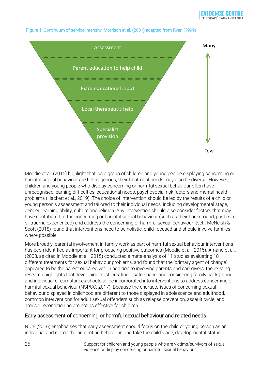

#### Figure 1: Continuum of service intensity; Morrison et al. (2001) adapted from Ryan (1999)

Moodie et al. (2015) highlight that, as a group of children and young people displaying concerning or harmful sexual behaviour are heterogenous, their treatment needs may also be diverse. However, children and young people who display concerning or harmful sexual behaviour often have unrecognised learning difficulties, educational needs, psychosocial risk factors and mental health problems (Hackett et al., 2019). The choice of intervention should be led by the results of a child or young person's assessment and tailored to their individual needs, including developmental stage, gender, learning ability, culture and religion. Any intervention should also consider factors that may have contributed to the concerning or harmful sexual behaviour (such as their background, past care or trauma experienced) and address the concerning or harmful sexual behaviour itself. McNeish & Scott (2018) found that interventions need to be holistic, child-focused and should involve families where possible.

More broadly, parental involvement in family work as part of harmful sexual behaviour interventions has been identified as important for producing positive outcomes (Moodie et al., 2015). Amand et al., (2008, as cited in Moodie et al., 2015) conducted a meta-analysis of 11 studies evaluating 18 different treatments for sexual behaviour problems, and found that the 'primary agent of change' appeared to be the parent or caregiver. In addition to involving parents and caregivers, the existing research highlights that developing trust, creating a safe space, and considering family background and individual circumstances should all be incorporated into interventions to address concerning or harmful sexual behaviour (NSPCC, 2017). Because the characteristics of concerning sexual behaviour displayed in childhood are different to those displayed in adolescence and adulthood, common interventions for adult sexual offenders such as relapse prevention, assault cycle, and arousal reconditioning are not as effective for children.

#### Early assessment of concerning or harmful sexual behaviour and related needs

NICE (2016) emphasises that early assessment should focus on the child or young person as an individual and not on the presenting behaviour, and take the child's age, developmental status,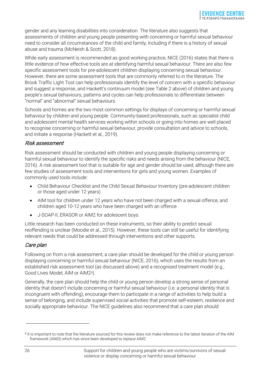gender and any learning disabilities into consideration. The literature also suggests that assessments of children and young people presenting with concerning or harmful sexual behaviour need to consider all circumstances of the child and family, including if there is a history of sexual abuse and trauma (McNeish & Scott, 2018).

While early assessment is recommended as good working practice, NICE (2016) states that there is little evidence of how effective tools are at identifying harmful sexual behaviour. There are also few specific assessment tools for pre-adolescent children displaying concerning sexual behaviour. However, there are some assessment tools that are commonly referred to in the literature. The Brook Traffic Light Tool can help professionals identify the level of concern with a specific behaviour and suggest a response, and Hackett's continuum model (see Table 2 above) of children and young people's sexual behaviours, patterns and cycles can help professionals to differentiate between "normal" and "abnormal" sexual behaviours.

Schools and homes are the two most common settings for displays of concerning or harmful sexual behaviour by children and young people. Community-based professionals, such as specialist child and adolescent mental health services working within schools or going into homes are well placed to recognise concerning or harmful sexual behaviour, provide consultation and advice to schools, and initiate a response (Hackett et al., 2019).

#### Risk assessment

Risk assessment should be conducted with children and young people displaying concerning or harmful sexual behaviour to identify the specific risks and needs arising from the behaviour (NICE, 2016). A risk assessment tool that is suitable for age and gender should be used, although there are few studies of assessment tools and interventions for girls and young women. Examples of commonly used tools include:

- Child Behaviour Checklist and the Child Sexual Behaviour Inventory (pre-adolescent children or those aged under 12 years)
- AIM tool for children under 12 years who have not been charged with a sexual offence, and children aged 10-12 years who have been charged with an offence
- J-SOAP-II, ERASOR or AIM2 for adolescent boys.

Little research has been conducted on these instruments, so their ability to predict sexual reoffending is unclear (Moodie et al., 2015). However, these tools can still be useful for identifying relevant needs that could be addressed through interventions and other supports.

#### Care plan

Following on from a risk assessment, a care plan should be developed for the child or young person displaying concerning or harmful sexual behaviour (NICE, 2016), which uses the results from an established risk assessment tool (as discussed above) and a recognised treatment model (e.g., Good Lives Model, AIM or AIM2[2](#page-25-0)).

Generally, the care plan should help the child or young person develop a strong sense of personal identity that doesn't include concerning or harmful sexual behaviour (i.e. a personal identity that is incongruent with offending), encourage them to participate in a range of activities to help build a sense of belonging, and include supervised social activities that promote self-esteem, resilience and socially appropriate behaviour. The NICE guidelines also recommend that a care plan should:

<span id="page-25-0"></span><sup>2</sup> It is important to note that the literature sourced for this review does not make reference to the latest iteration of the AIM framework (AIM3) which has since been developed to replace AIM2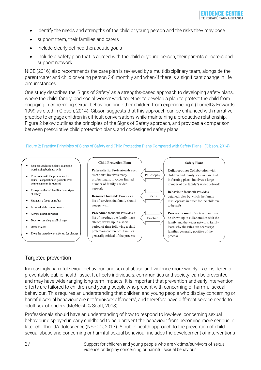- identify the needs and strengths of the child or young person and the risks they may pose
- support them, their families and carers
- include clearly defined therapeutic goals
- include a safety plan that is agreed with the child or young person, their parents or carers and support network.

NICE (2016) also recommends the care plan is reviewed by a multidisciplinary team, alongside the parent/carer and child or young person 3-6 monthly and when/if there is a significant change in life circumstances.

One study describes the 'Signs of Safety' as a strengths-based approach to developing safety plans, where the child, family, and social worker work together to develop a plan to protect the child from engaging in concerning sexual behaviour, and other children from experiencing it (Turnell & Edwards, 1999 as cited in Gibson, 2014). Gibson suggests that this approach can be enhanced with narrative practice to engage children in difficult conversations while maintaining a productive relationship. Figure 2 below outlines the principles of the Signs of Safety approach, and provides a comparison between prescriptive child protection plans, and co-designed safety plans.

#### Figure 2: Practice Principles of Signs of Safety and Child Protection Plans Compared with Safety Plans . (Gibson, 2014)

- Respect service recipients as people worth doing business with
- Cooperate with the person not the abuse-cooperation is possible even where coercion is required
- Recognise that all families have signs  $\bullet$ of safety
- Maintain a focus on safety
- Learn what the person wants
- Always search for detail  $\bullet$
- Focus on creating small change  $\bullet$
- Offer choices
- Treat the interview as a forum for change

#### **Child Protection Plan:**

Paternalistic: Professionals seen as experts; involves many professionals: involves limited number of family's wider network

Resource focused: Provides a list of services the family should engage with

Procedure focused: Provides a list of meetings the family must attend; drawn up in a short period of time following a child protection conference; families generally critical of the process



**Safety Plan:** 

Collaborative: Collaboration with children and family seen as essential in forming plans; involves a large number of the family's wider network

**Behaviour focused: Provides** detailed rules by which the family must operate in order for the children to be safe

Process focused: Can take months to be drawn up in collaboration with the family and the wider network; family learn why the rules are necessary; families generally positive of the process

#### Targeted prevention

Increasingly harmful sexual behaviour, and sexual abuse and violence more widely, is considered a preventable public health issue. It affects individuals, communities and society, can be prevented and may have wide-ranging long-term impacts. It is important that prevention and early intervention efforts are tailored to children and young people who present with concerning or harmful sexual behaviour. This requires an understanding that children and young people who display concerning or harmful sexual behaviour are not 'mini-sex offenders', and therefore have different service needs to adult sex offenders (McNeish & Scott, 2018).

Professionals should have an understanding of how to respond to low-level concerning sexual behaviour displayed in early childhood to help prevent the behaviour from becoming more serious in later childhood/adolescence (NSPCC, 2017). A public health approach to the prevention of child sexual abuse and concerning or harmful sexual behaviour includes the development of interventions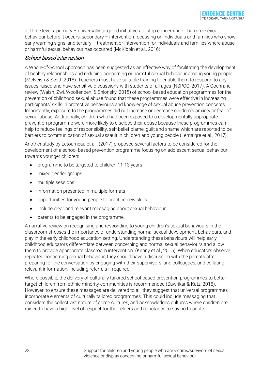at three levels: primary – universally targeted initiatives to stop concerning or harmful sexual behaviour before it occurs; secondary – intervention focussing on individuals and families who show early warning signs; and tertiary – treatment or intervention for individuals and families where abuse or harmful sexual behaviour has occurred (McKibbin et al., 2016).

#### School-based intervention

A Whole-of-School Approach has been suggested as an effective way of facilitating the development of healthy relationships and reducing concerning or harmful sexual behaviour among young people (McNeish & Scott, 2018). Teachers must have suitable training to enable them to respond to any issues raised and have sensitive discussions with students of all ages (NSPCC, 2017). A Cochrane review (Walsh, Zwi, Woolfenden, & Shlonsky, 2015) of school-based education programmes for the prevention of childhood sexual abuse found that these programmes were effective in increasing participants' skills in protective behaviours and knowledge of sexual abuse prevention concepts. Importantly, exposure to the programmes did not increase or decrease children's anxiety or fear of sexual abuse. Additionally, children who had been exposed to a developmentally appropriate prevention programme were more likely to disclose their abuse because these programmes can help to reduce feelings of responsibility, self-belief blame, guilt and shame which are reported to be barriers to communication of sexual assault in children and young people (Lemaigre et al., 2017).

Another study by Letourneau et al., (2017) proposed several factors to be considered for the development of a school-based prevention programme focusing on adolescent sexual behaviour towards younger children:

- programme to be targeted to children 11-13 years
- mixed gender groups
- multiple sessions
- information presented in multiple formats
- opportunities for young people to practice new skills
- include clear and relevant messaging about sexual behaviour
- parents to be engaged in the programme.

A narrative review on recognising and responding to young children's sexual behaviours in the classroom stresses the importance of understanding normal sexual development, behaviours, and play in the early childhood education setting. Understanding these behaviours will help early childhood educators differentiate between concerning and normal sexual behaviours and allow them to provide appropriate classroom intervention (Kenny et al., 2015). When educators observe repeated concerning sexual behaviour, they should have a discussion with the parents after preparing for the conversation by engaging with their supervisors, and colleagues, and collating relevant information, including referrals if required.

Where possible, the delivery of culturally tailored school-based prevention programmes to better target children from ethnic minority communities is recommended (Sawrikar & Katz, 2018). However, to ensure these messages are delivered to all, they suggest that universal programmes incorporate elements of culturally tailored programmes. This could include messaging that considers the collectivist nature of some cultures, and acknowledges cultures where children are raised to have a high level of respect for their elders and reluctance to say no to adults.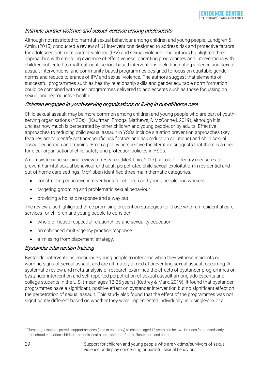#### Intimate partner violence and sexual violence among adolescents

Although not restricted to harmful sexual behaviour among children and young people, Lundgren & Amin, (2015) conducted a review of 61 interventions designed to address risk and protective factors for adolescent intimate partner violence (IPV) and sexual violence. The authors highlighted three approaches with emerging evidence of effectiveness: parenting programmes and interventions with children subjected to maltreatment; school-based interventions including dating violence and sexual assault interventions; and community-based programmes designed to focus on equitable gender norms and reduce tolerance of IPV and sexual violence. The authors suggest that elements of successful programmes such as healthy relationship skills and gender equitable norm formation could be combined with other programmes delivered to adolescents such as those focussing on sexual and reproductive health.

#### Children engaged in youth-serving organisations or living in out-of-home care

Child sexual assault may be more common among children and young people who are part of youth-serving organisations (YSOs)<sup>[3](#page-28-0)</sup> (Kaufman, Erooga, Mathews, & McConnell, 2019), although it is unclear how much is perpetrated by other children and young people, or by adults. Effective approaches to reducing child sexual assault in YSOs include situation prevention approaches (key features are to identify setting-specific risk factors and risk reduction solutions) and child sexual assault education and training. From a policy perspective the literature suggests that there is a need for clear organisational child safety and protection policies in YSOs.

A non-systematic scoping review of research (McKibbin, 2017) set out to identify measures to prevent harmful sexual behaviour and adult-perpetrated child sexual exploitation in residential and out-of-home care settings. McKibben identified three main thematic categories:

- constructing educative interventions for children and young people and workers
- targeting grooming and problematic sexual behaviour
- providing a holistic response and a way out.

The review also highlighted three promising prevention strategies for those who run residential care services for children and young people to consider:

- whole-of-house respectful relationships and sexuality education
- an enhanced multi-agency practice response
- a 'missing from placement' strategy.

#### Bystander intervention training

Bystander interventions encourage young people to intervene when they witness incidents or warning signs of sexual assault and are ultimately aimed at preventing sexual assault occurring. A systematic review and meta-analysis of research examined the effects of bystander programmes on bystander intervention and self-reported perpetration of sexual assault among adolescents and college students in the U.S. (mean ages 12-25 years) (Kettrey & Marx, 2019). It found that bystander programmes have a significant, positive effect on bystander intervention but no significant effect on the perpetration of sexual assault. This study also found that the effect of the programmes was not significantly different based on whether they were implemented individually, in a single-sex or a

<span id="page-28-0"></span><sup>3</sup> These organisations provide support services (paid or voluntary) to children aged 18 years and below - includes faith-based, early childhood education, childcare, schools, health care, and out-of-home/foster care and sport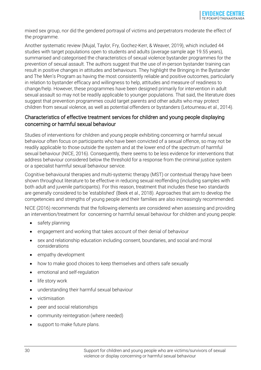mixed sex group, nor did the gendered portrayal of victims and perpetrators moderate the effect of the programme.

Another systematic review (Mujal, Taylor, Fry, Gochez-Kerr, & Weaver, 2019), which included 44 studies with target populations open to students and adults (average sample age 19.55 years), summarised and categorised the characteristics of sexual violence bystander programmes for the prevention of sexual assault. The authors suggest that the use of in-person bystander training can result in positive changes in attitudes and behaviours. They highlight the Bringing in the Bystander and The Men's Program as having the most consistently reliable and positive outcomes, particularly in relation to bystander efficacy and willingness to help, attitudes and measure of readiness to change/help. However, these programmes have been designed primarily for intervention in adult sexual assault so may not be readily applicable to younger populations. That said, the literature does suggest that prevention programmes could target parents and other adults who may protect children from sexual violence, as well as potential offenders or bystanders (Letourneau et al., 2014).

#### Characteristics of effective treatment services for children and young people displaying concerning or harmful sexual behaviour

Studies of interventions for children and young people exhibiting concerning or harmful sexual behaviour often focus on participants who have been convicted of a sexual offence, so may not be readily applicable to those outside the system and at the lower end of the spectrum of harmful sexual behaviour (NICE, 2016). Consequently, there seems to be less evidence for interventions that address behaviour considered below the threshold for a response from the criminal justice system or a specialist harmful sexual behaviour service.

Cognitive behavioural therapies and multi-systemic therapy (MST) or contextual therapy have been shown throughout literature to be effective in reducing sexual reoffending (including samples with both adult and juvenile participants). For this reason, treatment that includes these two standards are generally considered to be 'established' (Beek et al., 2018). Approaches that aim to develop the competencies and strengths of young people and their families are also increasingly recommended.

NICE (2016) recommends that the following elements are considered when assessing and providing an intervention/treatment for concerning or harmful sexual behaviour for children and young people:

- safety planning
- engagement and working that takes account of their denial of behaviour
- sex and relationship education including consent, boundaries, and social and moral considerations
- empathy development
- how to make good choices to keep themselves and others safe sexually
- emotional and self-regulation
- life story work
- understanding their harmful sexual behaviour
- victimisation
- peer and social relationships
- community reintegration (where needed)
- support to make future plans.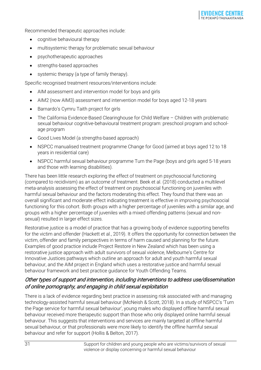Recommended therapeutic approaches include:

- cognitive behavioural therapy
- multisystemic therapy for problematic sexual behaviour
- psychotherapeutic approaches
- strengths-based approaches
- systemic therapy (a type of family therapy).

Specific recognised treatment resources/interventions include:

- AIM assessment and intervention model for boys and girls
- AIM2 (now AIM3) assessment and intervention model for boys aged 12-18 years
- Barnardo's Cymru Taith project for girls
- The California Evidence-Based Clearinghouse for Child Welfare Children with problematic sexual behaviour cognitive-behavioural treatment program: preschool program and schoolage program
- Good Lives Model (a strengths-based approach)
- NSPCC manualised treatment programme Change for Good (aimed at boys aged 12 to 18 years in residential care)
- NSPCC harmful sexual behaviour programme Turn the Page (boys and girls aged 5-18 years and those with learning disabilities).

There has been little research exploring the effect of treatment on psychosocial functioning (compared to recidivism) as an outcome of treatment. Beek et al. (2018) conducted a multilevel meta-analysis assessing the effect of treatment on psychosocial functioning on juveniles with harmful sexual behaviour and the factors moderating this effect. They found that there was an overall significant and moderate effect indicating treatment is effective in improving psychosocial functioning for this cohort. Both groups with a higher percentage of juveniles with a similar age, and groups with a higher percentage of juveniles with a mixed offending patterns (sexual and nonsexual) resulted in larger effect sizes.

Restorative justice is a model of practice that has a growing body of evidence supporting benefits for the victim and offender (Hackett et al., 2019). It offers the opportunity for connection between the victim, offender and family perspectives in terms of harm caused and planning for the future. Examples of good practice include Project Restore in New Zealand which has been using a restorative justice approach with adult survivors of sexual violence, Melbourne's Centre for Innovative Justices pathways which outline an approach for adult and youth harmful sexual behaviour, and the AIM project in England which uses a restorative justice and harmful sexual behaviour framework and best practice guidance for Youth Offending Teams.

#### Other types of support and intervention, including interventions to address use/dissemination of online pornography, and engaging in child sexual exploitation

There is a lack of evidence regarding best practice in assessing risk associated with and managing technology-assisted harmful sexual behaviour (McNeish & Scott, 2018). In a study of NSPCC's 'Turn the Page service for harmful sexual behaviour', young males who displayed offline harmful sexual behaviour received more therapeutic support than those who only displayed online harmful sexual behaviour. This suggests that interventions and services are mainly targeted at offline harmful sexual behaviour, or that professionals were more likely to identify the offline harmful sexual behaviour and refer for support (Hollis & Belton, 2017).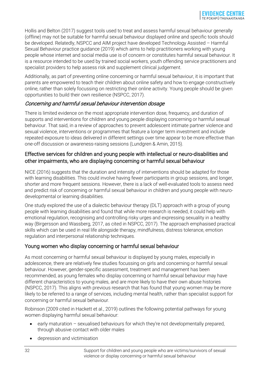Hollis and Belton (2017) suggest tools used to treat and assess harmful sexual behaviour generally (offline) may not be suitable for harmful sexual behaviour displayed online and specific tools should be developed. Relatedly, NSPCC and AIM project have developed Technology Assisted – Harmful Sexual Behaviour practice guidance (2019) which aims to help practitioners working with young people whose internet and social media use is of concern or constitutes harmful sexual behaviour. It is a resource intended to be used by trained social workers, youth offending service practitioners and specialist providers to help assess risk and supplement clinical judgement.

Additionally, as part of preventing online concerning or harmful sexual behaviour, it is important that parents are empowered to teach their children about online safety and how to engage constructively online, rather than solely focussing on restricting their online activity. Young people should be given opportunities to build their own resilience (NSPCC, 2017).

#### Concerning and harmful sexual behaviour intervention dosage

There is limited evidence on the most appropriate intervention dose, frequency, and duration of supports and interventions for children and young people displaying concerning or harmful sexual behaviour. That said, in a review of approaches to prevent adolescent intimate partner violence and sexual violence, interventions or programmes that feature a longer term investment and include repeated exposure to ideas delivered in different settings over time appear to be more effective than one-off discussion or awareness-raising sessions (Lundgren & Amin, 2015).

#### Effective services for children and young people with intellectual or neuro-disabilities and other impairments, who are displaying concerning or harmful sexual behaviour

NICE (2016) suggests that the duration and intensity of interventions should be adapted for those with learning disabilities. This could involve having fewer participants in group sessions, and longer, shorter and more frequent sessions. However, there is a lack of well-evaluated tools to assess need and predict risk of concerning or harmful sexual behaviour in children and young people with neurodevelopmental or learning disabilities.

One study explored the use of a dialectic behaviour therapy (DLT) approach with a group of young people with learning disabilities and found that while more research is needed, it could help with emotional regulation, recognising and controlling risky urges and expressing sexuality in a healthy way (Birgersson and Wassberg, 2017, as cited in NSPCC, 2017). The approach emphasised practical skills which can be used in real life alongside therapy, mindfulness, distress tolerance, emotion regulation and interpersonal relationship techniques.

#### Young women who display concerning or harmful sexual behaviour

As most concerning or harmful sexual behaviour is displayed by young males, especially in adolescence, there are relatively few studies focussing on girls and concerning or harmful sexual behaviour. However, gender-specific assessment, treatment and management has been recommended, as young females who display concerning or harmful sexual behaviour may have different characteristics to young males, and are more likely to have their own abuse histories (NSPCC, 2017). This aligns with previous research that has found that young women may be more likely to be referred to a range of services, including mental health, rather than specialist support for concerning or harmful sexual behaviour.

Robinson (2009 cited in Hackett et al., 2019) outlines the following potential pathways for young women displaying harmful sexual behaviour:

- early maturation sexualised behaviours for which they're not developmentally prepared, through abusive contact with older males
- depression and victimisation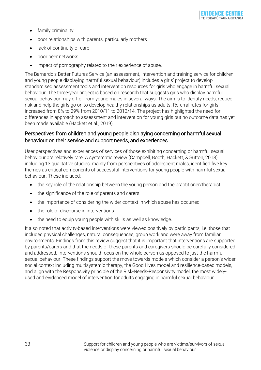- family criminality
- poor relationships with parents, particularly mothers
- lack of continuity of care
- poor peer networks
- impact of pornography related to their experience of abuse.

The Barnardo's Better Futures Service (an assessment, intervention and training service for children and young people displaying harmful sexual behaviour) includes a girls' project to develop standardised assessment tools and intervention resources for girls who engage in harmful sexual behaviour. The three-year project is based on research that suggests girls who display harmful sexual behaviour may differ from young males in several ways. The aim is to identify needs, reduce risk and help the girls go on to develop healthy relationships as adults. Referral rates for girls increased from 8% to 29% from 2010/11 to 2013/14. The project has highlighted the need for differences in approach to assessment and intervention for young girls but no outcome data has yet been made available (Hackett et al., 2019).

#### Perspectives from children and young people displaying concerning or harmful sexual behaviour on their service and support needs, and experiences

User perspectives and experiences of services of those exhibiting concerning or harmful sexual behaviour are relatively rare. A systematic review (Campbell, Booth, Hackett, & Sutton, 2018) including 13 qualitative studies, mainly from perspectives of adolescent males, identified five key themes as critical components of successful interventions for young people with harmful sexual behaviour. These included:

- the key role of the relationship between the young person and the practitioner/therapist
- the significance of the role of parents and carers
- the importance of considering the wider context in which abuse has occurred
- the role of discourse in interventions
- the need to equip young people with skills as well as knowledge.

It also noted that activity-based interventions were viewed positively by participants, i.e. those that included physical challenges, natural consequences, group work and were away from familiar environments. Findings from this review suggest that it is important that interventions are supported by parents/carers and that the needs of these parents and caregivers should be carefully considered and addressed. Interventions should focus on the whole person as opposed to just the harmful sexual behaviour. These findings support the move towards models which consider a person's wider social context including multisystemic therapy, the Good Lives model and resilience-based models, and align with the Responsivity principle of the Risk-Needs-Responsivity model, the most widelyused and evidenced model of intervention for adults engaging in harmful sexual behaviour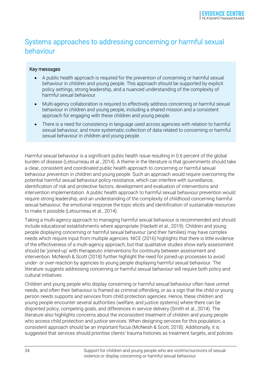## <span id="page-33-0"></span>Systems approaches to addressing concerning or harmful sexual behaviour

#### Key messages

- A public health approach is required for the prevention of concerning or harmful sexual behaviour in children and young people. This approach should be supported by explicit policy settings, strong leadership, and a nuanced understanding of the complexity of harmful sexual behaviour.
- Multi-agency collaboration is required to effectively address concerning or harmful sexual behaviour in children and young people, including a shared mission and a consistent approach for engaging with these children and young people.
- There is a need for consistency in language used across agencies with relation to harmful sexual behaviour, and more systematic collection of data related to concerning or harmful sexual behaviour in children and young people.

Harmful sexual behaviour is a significant public health issue resulting in 0.6 percent of the global burden of disease (Letourneau et al., 2014). A theme in the literature is that governments should take a clear, consistent and coordinated public health approach to concerning or harmful sexual behaviour prevention in children and young people. Such an approach would require overcoming the potential harmful sexual behaviour policy resistance, which can interfere with surveillance, identification of risk and protective factors, development and evaluation of interventions and intervention implementation. A public health approach to harmful sexual behaviour prevention would require strong leadership, and an understanding of the complexity of childhood concerning harmful sexual behaviour, the emotional response the topic elicits and identification of sustainable resources to make it possible (Letourneau et al., 2014).

Taking a multi-agency approach to managing harmful sexual behaviour is recommended and should include educational establishments where appropriate (Hackett et al., 2019). Children and young people displaying concerning or harmful sexual behaviour (and their families) may have complex needs which require input from multiple agencies. NICE (2016) highlights that there is little evidence of the effectiveness of a multi-agency approach, but that qualitative studies show early assessment should be 'joined-up' with therapeutic interventions for continuity between assessment and intervention. McNeish & Scott (2018) further highlight the need for joined-up processes to avoid under- or over-reaction by agencies to young people displaying harmful sexual behaviour. The literature suggests addressing concerning or harmful sexual behaviour will require both policy and cultural initiatives.

Children and young people who display concerning or harmful sexual behaviour often have unmet needs, and often their behaviour is framed as criminal offending, or as a sign that the child or young person needs supports and services from child protection agencies. Hence, these children and young people encounter several authorities (welfare, and justice systems) where there can be disjointed policy, competing goals, and differences in service delivery (Smith et al., 2014). The literature also highlights concerns about the inconsistent treatment of children and young people who access child protection and justice services. When designing services for this population, a consistent approach should be an important focus (McNeish & Scott, 2018). Additionally, it is suggested that services should prioritise clients' trauma histories as treatment targets, and policies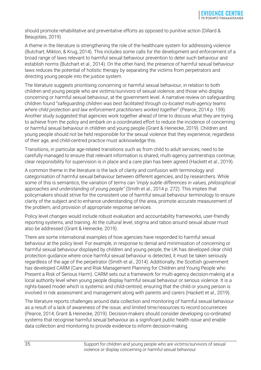should promote rehabilitative and preventative efforts as opposed to punitive action (Dillard & Beaujolais, 2019).

A theme in the literature is strengthening the role of the healthcare system for addressing violence (Butchart, Mikton, & Krug, 2014). This includes some calls for the development and enforcement of a broad range of laws relevant to harmful sexual behaviour prevention to deter such behaviour and establish norms (Butchart et al., 2014)*.* On the other hand, the presence of harmful sexual behaviour laws reduces the potential of holistic therapy by separating the victims from perpetrators and directing young people into the justice system.

The literature suggests prioritising concerning or harmful sexual behaviour, in relation to both children and young people who are victims/survivors of sexual violence, and those who display concerning or harmful sexual behaviour, at the government level. A narrative review on safeguarding children found "*safeguarding children was best facilitated through co-located multi-agency teams where child protection and law enforcement practitioners worked together*" (Pearce, 2014 p. 159). Another study suggested that agencies work together ahead of time to discuss what they are trying to achieve from the policy and embark on a coordinated effort to reduce the incidence of concerning or harmful sexual behaviour in children and young people (Grant & Heinecke, 2019). Children and young people should not be held responsible for the sexual violence that they experience, regardless of their age, and child-centred practice must acknowledge this.

Transitions, in particular age-related transitions such as from child to adult services, need to be carefully managed to ensure that relevant information is shared, multi-agency partnerships continue, clear responsibility for supervision is in place and a care plan has been agreed (Hackett et al., 2019).

A common theme in the literature is the lack of clarity and confusion with terminology and categorisation of harmful sexual behaviour between different agencies, and by researchers. While some of this is semantics, the variation of terms can *"imply subtle differences in values, philosophical approaches and understanding of young people"* (Smith et al., 2014 p. 272). This implies that policymakers should strive for the consistent use of harmful sexual behaviour terminology to ensure clarity of the subject and to enhance understanding of the area, promote accurate measurement of the problem, and provision of appropriate response services.

Policy level changes would include robust evaluation and accountability frameworks, user-friendly reporting systems, and training. At the cultural level, stigma and taboo around sexual abuse must also be addressed (Grant & Heinecke, 2019).

There are some international examples of how agencies have responded to harmful sexual behaviour at the policy level. For example, in response to denial and minimisation of concerning or harmful sexual behaviour displayed by children and young people, the UK has developed clear child protection guidance where once harmful sexual behaviour is detected, it must be taken seriously regardless of the age of the perpetrator (Smith et al., 2014). Additionally, the Scottish government has developed CARM (Care and Risk Management Planning for Children and Young People who Present a Risk of Serious Harm). CARM sets out a framework for multi-agency decision-making at a local authority level when young people display harmful sexual behaviour or serious violence. It is a rights-based model which is systemic and child-centred, ensuring that the child or young person is involved in risk assessment and management along with parents and carers (Hackett et al., 2019).

The literature reports challenges around data collection and monitoring of harmful sexual behaviour as a result of a lack of awareness of the issue, and limited time/resources to record occurrences (Pearce, 2014; Grant & Heinecke, 2019). Decision-makers should consider developing co-ordinated systems that recognise harmful sexual behaviour as a significant public health issue and enable data collection and monitoring to provide evidence to inform decision-making.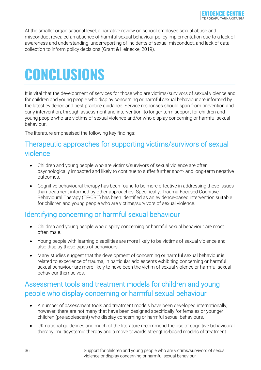At the smaller organisational level, a narrative review on school employee sexual abuse and misconduct revealed an absence of harmful sexual behaviour policy implementation due to a lack of awareness and understanding, underreporting of incidents of sexual misconduct, and lack of data collection to inform policy decisions (Grant & Heinecke, 2019).

## <span id="page-35-0"></span>**CONCLUSIONS**

It is vital that the development of services for those who are victims/survivors of sexual violence and for children and young people who display concerning or harmful sexual behaviour are informed by the latest evidence and best practice guidance. Service responses should span from prevention and early intervention, through assessment and intervention, to longer term support for children and young people who are victims of sexual violence and/or who display concerning or harmful sexual behaviour.

The literature emphasised the following key findings:

### <span id="page-35-1"></span>Therapeutic approaches for supporting victims/survivors of sexual violence

- Children and young people who are victims/survivors of sexual violence are often psychologically impacted and likely to continue to suffer further short- and long-term negative outcomes.
- Cognitive behavioural therapy has been found to be more effective in addressing these issues than treatment informed by other approaches. Specifically, Trauma-Focused Cognitive Behavioural Therapy (TF-CBT) has been identified as an evidence-based intervention suitable for children and young people who are victims/survivors of sexual violence.

### <span id="page-35-2"></span>Identifying concerning or harmful sexual behaviour

- Children and young people who display concerning or harmful sexual behaviour are most often male.
- Young people with learning disabilities are more likely to be victims of sexual violence and also display these types of behaviours.
- Many studies suggest that the development of concerning or harmful sexual behaviour is related to experience of trauma, in particular adolescents exhibiting concerning or harmful sexual behaviour are more likely to have been the victim of sexual violence or harmful sexual behaviour themselves.

## <span id="page-35-3"></span>Assessment tools and treatment models for children and young people who display concerning or harmful sexual behaviour

- A number of assessment tools and treatment models have been developed internationally; however, there are not many that have been designed specifically for females or younger children (pre-adolescent) who display concerning or harmful sexual behaviours.
- UK national guidelines and much of the literature recommend the use of cognitive behavioural therapy, multisystemic therapy and a move towards strengths-based models of treatment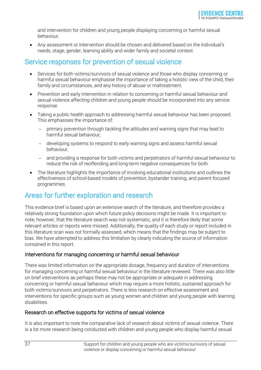and intervention for children and young people displaying concerning or harmful sexual behaviour.

• Any assessment or intervention should be chosen and delivered based on the individual's needs, stage, gender, learning ability and wider family and societal context.

### <span id="page-36-0"></span>Service responses for prevention of sexual violence

- Services for both victims/survivors of sexual violence and those who display concerning or harmful sexual behaviour emphasise the importance of taking a holistic view of the child, their family and circumstances, and any history of abuse or maltreatment.
- Prevention and early intervention in relation to concerning or harmful sexual behaviour and sexual violence affecting children and young people should be incorporated into any service response.
- Taking a public health approach to addressing harmful sexual behaviour has been proposed. This emphasises the importance of:
	- − primary prevention through tackling the attitudes and warning signs that may lead to harmful sexual behaviour,
	- − developing systems to respond to early warning signs and assess harmful sexual behaviour,
	- − and providing a response for both victims and perpetrators of harmful sexual behaviour to reduce the risk of reoffending and long-term negative consequences for both.
- The literature highlights the importance of involving educational institutions and outlines the effectiveness of school-based models of prevention, bystander training, and parent-focused programmes.

### <span id="page-36-1"></span>Areas for further exploration and research

This evidence brief is based upon an extensive search of the literature, and therefore provides a relatively strong foundation upon which future policy decisions might be made. It is important to note, however, that the literature search was not systematic, and it is therefore likely that some relevant articles or reports were missed. Additionally, the quality of each study or report included in this literature scan was not formally assessed, which means that the findings may be subject to bias. We have attempted to address this limitation by clearly indicating the source of information contained in this report.

#### Interventions for managing concerning or harmful sexual behaviour

There was limited information on the appropriate dosage, frequency and duration of interventions for managing concerning or harmful sexual behaviour in the literature reviewed. There was also little on brief interventions as perhaps these may not be appropriate or adequate in addressing concerning or harmful sexual behaviour which may require a more holistic, sustained approach for both victims/survivors and perpetrators. There is less research on effective assessment and interventions for specific groups such as young women and children and young people with learning disabilities.

#### Research on effective supports for victims of sexual violence

It is also important to note the comparative lack of research about victims of sexual violence. There is a lot more research being conducted with children and young people who display harmful sexual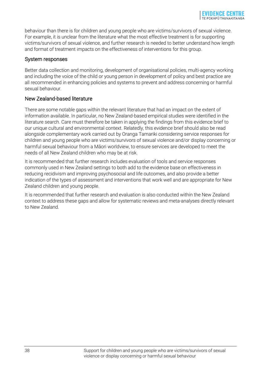behaviour than there is for children and young people who are victims/survivors of sexual violence. For example, it is unclear from the literature what the most effective treatment is for supporting victims/survivors of sexual violence, and further research is needed to better understand how length and format of treatment impacts on the effectiveness of interventions for this group.

#### System responses

Better data collection and monitoring, development of organisational policies, multi-agency working and including the voice of the child or young person in development of policy and best practice are all recommended in enhancing policies and systems to prevent and address concerning or harmful sexual behaviour.

#### New Zealand-based literature

There are some notable gaps within the relevant literature that had an impact on the extent of information available. In particular, no New Zealand-based empirical studies were identified in the literature search. Care must therefore be taken in applying the findings from this evidence brief to our unique cultural and environmental context. Relatedly, this evidence brief should also be read alongside complementary work carried out by Oranga Tamariki considering service responses for children and young people who are victims/survivors of sexual violence and/or display concerning or harmful sexual behaviour from a Māori worldview, to ensure services are developed to meet the needs of all New Zealand children who may be at risk.

It is recommended that further research includes evaluation of tools and service responses commonly used in New Zealand settings to both add to the evidence base on effectiveness in reducing recidivism and improving psychosocial and life outcomes, and also provide a better indication of the types of assessment and interventions that work well and are appropriate for New Zealand children and young people.

It is recommended that further research and evaluation is also conducted within the New Zealand context to address these gaps and allow for systematic reviews and meta-analyses directly relevant to New Zealand.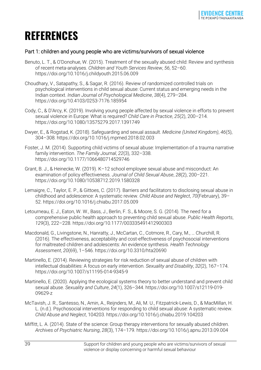## <span id="page-38-0"></span>**REFERENCES**

#### Part 1: children and young people who are victims/survivors of sexual violence

- Benuto, L. T., & O'Donohue, W. (2015). Treatment of the sexually abused child: Review and synthesis of recent meta-analyses. *Children and Youth Services Review*, *56*, 52–60. https://doi.org/10.1016/j.childyouth.2015.06.009
- Choudhary, V., Satapathy, S., & Sagar, R. (2016). Review of randomized controlled trials on psychological interventions in child sexual abuse: Current status and emerging needs in the Indian context. *Indian Journal of Psychological Medicine*, *38*(4), 279–284. https://doi.org/10.4103/0253-7176.185954
- Cody, C., & D'Arcy, K. (2019). Involving young people affected by sexual violence in efforts to prevent sexual violence in Europe: What is required? *Child Care in Practice*, *25*(2), 200–214. https://doi.org/10.1080/13575279.2017.1391749
- Dwyer, E., & Rogstad, K. (2018). Safeguarding and sexual assault. *Medicine (United Kingdom)*, *46*(5), 304–308. https://doi.org/10.1016/j.mpmed.2018.02.003
- Foster, J. M. (2014). Supporting child victims of sexual abuse: Implementation of a trauma narrative family intervention. *The Family Journal*, *22*(3), 332–338. https://doi.org/10.1177/1066480714529746
- Grant, B. J., & Heinecke, W. (2019). K–12 school employee sexual abuse and misconduct: An examination of policy effectiveness. *Journal of Child Sexual Abuse*, *28*(2), 200–221. https://doi.org/10.1080/10538712.2019.1580328
- Lemaigre, C., Taylor, E. P., & Gittoes, C. (2017). Barriers and facilitators to disclosing sexual abuse in childhood and adolescence: A systematic review. *Child Abuse and Neglect*, *70*(February), 39– 52. https://doi.org/10.1016/j.chiabu.2017.05.009
- Letourneau, E. J., Eaton, W. W., Bass, J., Berlin, F. S., & Moore, S. G. (2014). The need for a comprehensive public health approach to preventing child sexual abuse. *Public Health Reports*, *129*(3), 222–228. https://doi.org/10.1177/003335491412900303
- Macdonald, G., Livingstone, N., Hanratty, J., McCartan, C., Cotmore, R., Cary, M., … Churchill, R. (2016). The effectiveness, acceptability and cost-effectiveness of psychosocial interventions for maltreated children and adolescents: An evidence synthesis. *Health Technology Assessment*, *20*(69), 1–546. https://doi.org/10.3310/hta20690
- Martinello, E. (2014). Reviewing strategies for risk reduction of sexual abuse of children with intellectual disabilities: A focus on early intervention. *Sexuality and Disability*, *32*(2), 167–174. https://doi.org/10.1007/s11195-014-9345-9
- Martinello, E. (2020). Applying the ecological systems theory to better understand and prevent child sexual abuse. *Sexuality and Culture*, *24*(1), 326–344. https://doi.org/10.1007/s12119-019- 09629-z
- McTavish, J. R., Santesso, N., Amin, A., Reijnders, M., Ali, M. U., Fitzpatrick-Lewis, D., & MacMillan, H. L. (n.d.). Psychosocial interventions for responding to child sexual abuse: A systematic review. *Child Abuse and Neglect*, 104203. https://doi.org/10.1016/j.chiabu.2019.104203
- Miffitt, L. A. (2014). State of the science: Group therapy interventions for sexually abused children. *Archives of Psychiatric Nursing*, *28*(3), 174–179. https://doi.org/10.1016/j.apnu.2013.09.004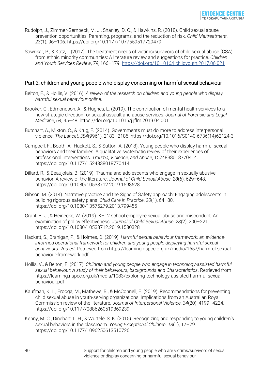- Rudolph, J., Zimmer-Gembeck, M. J., Shanley, D. C., & Hawkins, R. (2018). Child sexual abuse prevention opportunities: Parenting, programs, and the reduction of risk. *Child Maltreatment*, *23*(1), 96–106. https://doi.org/10.1177/1077559517729479
- Sawrikar, P., & Katz, I. (2017). The treatment needs of victims/survivors of child sexual abuse (CSA) from ethnic minority communities: A literature review and suggestions for practice. *Children and Youth Services Review*, *79*, 166–179. https://[doi.org/10.1016/j.childyouth.2017.06.021](https://doi.org/10.1016/j.childyouth.2017.06.021)

#### Part 2: children and young people who display concerning or harmful sexual behaviour

- Belton, E., & Hollis, V. (2016). *A review of the research on children and young people who display harmful sexual behaviour online*.
- Brooker, C., Edmondson, A., & Hughes, L. (2019). The contribution of mental health services to a new strategic direction for sexual assault and abuse services. *Journal of Forensic and Legal Medicine*, *64*, 45–48. https://doi.org/10.1016/j.jflm.2019.04.001
- Butchart, A., Mikton, C., & Krug, E. (2014). Governments must do more to address interpersonal violence. *The Lancet*, *384*(9961), 2183–2185. https://doi.org/10.1016/S0140-6736(14)62124-3
- Campbell, F., Booth, A., Hackett, S., & Sutton, A. (2018). Young people who display harmful sexual behaviors and their families: A qualitative systematic review of their experiences of professional interventions. *Trauma, Violence, and Abuse*, 1524838018770414. https://doi.org/10.1177/1524838018770414
- Dillard, R., & Beaujolais, B. (2019). Trauma and adolescents who engage in sexually abusive behavior: A review of the literature. *Journal of Child Sexual Abuse*, *28*(6), 629–648. https://doi.org/10.1080/10538712.2019.1598528
- Gibson, M. (2014). Narrative practice and the Signs of Safety approach: Engaging adolescents in building rigorous safety plans. *Child Care in Practice*, *20*(1), 64–80. https://doi.org/10.1080/13575279.2013.799455
- Grant, B. J., & Heinecke, W. (2019). K–12 school employee sexual abuse and misconduct: An examination of policy effectiveness. *Journal of Child Sexual Abuse*, *28*(2), 200–221. https://doi.org/10.1080/10538712.2019.1580328
- Hackett, S., Branigan, P., & Holmes, D. (2019). *Harmful sexual behaviour framework: an evidenceinformed operational framework for children and young people displaying harmful sexual behaviours. 2nd ed.* Retrieved from https://learning.nspcc.org.uk/media/1657/harmful-sexualbehaviour-framework.pdf
- Hollis, V., & Belton, E. (2017). *Children and young people who engage in technology-assisted harmful sexual behaviour: A study of their behaviours, backgrounds and Characteristics*. Retrieved from https://learning.nspcc.org.uk/media/1083/exploring-technology-assisted-harmful-sexualbehaviour.pdf
- Kaufman, K. L., Erooga, M., Mathews, B., & McConnell, E. (2019). Recommendations for preventing child sexual abuse in youth-serving organizations: Implications from an Australian Royal Commission review of the literature. *Journal of Interpersonal Violence*, *34*(20), 4199–4224. https://doi.org/10.1177/0886260519869239
- Kenny, M. C., Dinehart, L. H., & Wurtele, S. K. (2015). Recognizing and responding to young children's sexual behaviors in the classroom. *Young Exceptional Children*, *18*(1), 17–29. https://doi.org/10.1177/1096250613510726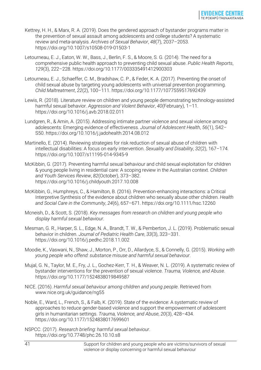- Kettrey, H. H., & Marx, R. A. (2019). Does the gendered approach of bystander programs matter in the prevention of sexual assault among adolescents and college students? A systematic review and meta-analysis. *Archives of Sexual Behavior*, *48*(7), 2037–2053. https://doi.org/10.1007/s10508-019-01503-1
- Letourneau, E. J., Eaton, W. W., Bass, J., Berlin, F. S., & Moore, S. G. (2014). The need for a comprehensive public health approach to preventing child sexual abuse. *Public Health Reports*, *129*(3), 222–228. https://doi.org/10.1177/003335491412900303
- Letourneau, E. J., Schaeffer, C. M., Bradshaw, C. P., & Feder, K. A. (2017). Preventing the onset of child sexual abuse by targeting young adolescents with universal prevention programming. *Child Maltreatment*, *22*(2), 100–111. https://doi.org/10.1177/1077559517692439
- Lewis, R. (2018). Literature review on children and young people demonstrating technology-assisted harmful sexual behavior. *Aggression and Violent Behavior*, *40*(February), 1–11. https://doi.org/10.1016/j.avb.2018.02.011
- Lundgren, R., & Amin, A. (2015). Addressing intimate partner violence and sexual violence among adolescents: Emerging evidence of effectiveness. *Journal of Adolescent Health*, *56*(1), S42– S50. https://doi.org/10.1016/j.jadohealth.2014.08.012
- Martinello, E. (2014). Reviewing strategies for risk reduction of sexual abuse of children with intellectual disabilities: A focus on early intervention. *Sexuality and Disability*, *32*(2), 167–174. https://doi.org/10.1007/s11195-014-9345-9
- McKibbin, G. (2017). Preventing harmful sexual behaviour and child sexual exploitation for children & young people living in residential care: A scoping review in the Australian context. *Children and Youth Services Review*, *82*(October), 373–382. https://doi.org/10.1016/j.childyouth.2017.10.008
- McKibbin, G., Humphreys, C., & Hamilton, B. (2016). Prevention-enhancing interactions: a Critical Interpretive Synthesis of the evidence about children who sexually abuse other children. *Health and Social Care in the Community*, *24*(6), 657–671. https://doi.org/10.1111/hsc.12260
- Mcneish, D., & Scott, S. (2018). *Key messages from research on children and young people who display harmful sexual behaviour*.
- Mesman, G. R., Harper, S. L., Edge, N. A., Brandt, T. W., & Pemberton, J. L. (2019). Problematic sexual behavior in children. *Journal of Pediatric Health Care*, *33*(3), 323–331. https://doi.org/10.1016/j.pedhc.2018.11.002
- Moodie, K., Vaswani, N., Shaw, J., Morton, P., Orr, D., Allardyce, S., & Connelly, G. (2015). *Working with young people who offend: substance misuse and harmful sexual behaviour*.
- Mujal, G. N., Taylor, M. E., Fry, J. L., Gochez-Kerr, T. H., & Weaver, N. L. (2019). A systematic review of bystander interventions for the prevention of sexual violence. *Trauma, Violence, and Abuse*. https://doi.org/10.1177/1524838019849587
- NICE. (2016). *Harmful sexual behaviour among children and young people*. Retrieved from www.nice.org.uk/guidance/ng55
- Noble, E., Ward, L., French, S., & Falb, K. (2019). State of the evidence: A systematic review of approaches to reduce gender-based violence and support the empowerment of adolescent girls in humanitarian settings. *Trauma, Violence, and Abuse*, *20*(3), 428–434. https://doi.org/10.1177/1524838017699601
- NSPCC. (2017). *Research briefing: harmful sexual behaviour*. https://doi.org/10.7748/phc.26.10.10.s8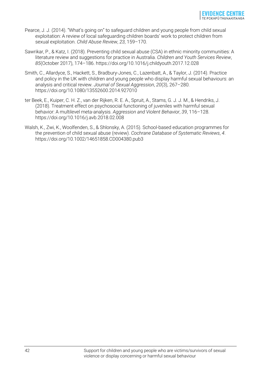- Pearce, J. J. (2014). "What's going on" to safeguard children and young people from child sexual exploitation: A review of local safeguarding children boards' work to protect children from sexual exploitation. *Child Abuse Review*, *23*, 159–170.
- Sawrikar, P., & Katz, I. (2018). Preventing child sexual abuse (CSA) in ethnic minority communities: A literature review and suggestions for practice in Australia. *Children and Youth Services Review*, *85*(October 2017), 174–186. https://doi.org/10.1016/j.childyouth.2017.12.028
- Smith, C., Allardyce, S., Hackett, S., Bradbury-Jones, C., Lazenbatt, A., & Taylor, J. (2014). Practice and policy in the UK with children and young people who display harmful sexual behaviours: an analysis and critical review. *Journal of Sexual Aggression*, *20*(3), 267–280. https://doi.org/10.1080/13552600.2014.927010
- ter Beek, E., Kuiper, C. H. Z., van der Rijken, R. E. A., Spruit, A., Stams, G. J. J. M., & Hendriks, J. (2018). Treatment effect on psychosocial functioning of juveniles with harmful sexual behavior: A multilevel meta-analysis. *Aggression and Violent Behavior*, *39*, 116–128. https://doi.org/10.1016/j.avb.2018.02.008
- Walsh, K., Zwi, K., Woolfenden, S., & Shlonsky, A. (2015). School-based education programmes for the prevention of child sexual abuse (review). *Cochrane Database of Systematic Reviews*, *4*. https://doi.org/10.1002/14651858.CD004380.pub3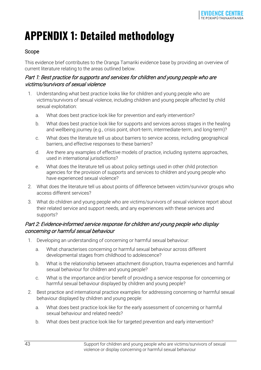## <span id="page-42-0"></span>**APPENDIX 1: Detailed methodology**

#### Scope

This evidence brief contributes to the Oranga Tamariki evidence base by providing an overview of current literature relating to the areas outlined below.

#### Part 1: Best practice for supports and services for children and young people who are victims/survivors of sexual violence

- 1. Understanding what best practice looks like for children and young people who are victims/survivors of sexual violence, including children and young people affected by child sexual exploitation:
	- a. What does best practice look like for prevention and early intervention?
	- b. What does best practice look like for supports and services across stages in the healing and wellbeing journey (e.g., crisis point, short-term, intermediate-term, and long-term)?
	- c. What does the literature tell us about barriers to service access, including geographical barriers, and effective responses to these barriers?
	- d. Are there any examples of effective models of practice, including systems approaches, used in international jurisdictions?
	- e. What does the literature tell us about policy settings used in other child protection agencies for the provision of supports and services to children and young people who have experienced sexual violence?
- 2. What does the literature tell us about points of difference between victim/survivor groups who access different services?
- 3. What do children and young people who are victims/survivors of sexual violence report about their related service and support needs, and any experiences with these services and supports?

#### Part 2: Evidence-informed service response for children and young people who display concerning or harmful sexual behaviour

- 1. Developing an understanding of concerning or harmful sexual behaviour:
	- a. What characterises concerning or harmful sexual behaviour across different developmental stages from childhood to adolescence?
	- b. What is the relationship between attachment disruption, trauma experiences and harmful sexual behaviour for children and young people?
	- c. What is the importance and/or benefit of providing a service response for concerning or harmful sexual behaviour displayed by children and young people?
- 2. Best practice and international practice examples for addressing concerning or harmful sexual behaviour displayed by children and young people:
	- a. What does best practice look like for the early assessment of concerning or harmful sexual behaviour and related needs?
	- b. What does best practice look like for targeted prevention and early intervention?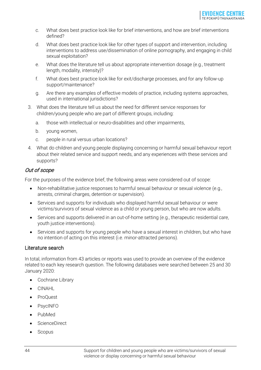- c. What does best practice look like for brief interventions, and how are brief interventions defined?
- d. What does best practice look like for other types of support and intervention, including interventions to address use/dissemination of online pornography, and engaging in child sexual exploitation?
- e. What does the literature tell us about appropriate intervention dosage (e.g., treatment length, modality, intensity)?
- f. What does best practice look like for exit/discharge processes, and for any follow-up support/maintenance?
- g. Are there any examples of effective models of practice, including systems approaches, used in international jurisdictions?
- 3. What does the literature tell us about the need for different service responses for children/young people who are part of different groups, including:
	- a. those with intellectual or neuro-disabilities and other impairments,
	- b. young women,
	- c. people in rural versus urban locations?
- 4. What do children and young people displaying concerning or harmful sexual behaviour report about their related service and support needs, and any experiences with these services and supports?

#### Out of scope

For the purposes of the evidence brief, the following areas were considered out of scope:

- Non-rehabilitative justice responses to harmful sexual behaviour or sexual violence (e.g., arrests, criminal charges, detention or supervision).
- Services and supports for individuals who displayed harmful sexual behaviour or were victims/survivors of sexual violence as a child or young person, but who are now adults.
- Services and supports delivered in an out-of-home setting (e.g., therapeutic residential care, youth justice interventions).
- Services and supports for young people who have a sexual interest in children, but who have no intention of acting on this interest (i.e. minor-attracted persons).

#### Literature search

In total, information from 43 articles or reports was used to provide an overview of the evidence related to each key research question. The following databases were searched between 25 and 30 January 2020:

- Cochrane Library
- CINAHL
- ProQuest
- PsycINFO
- PubMed
- ScienceDirect
- **Scopus**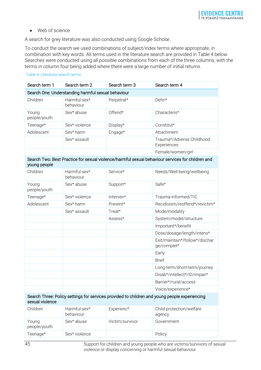• Web of science

A search for grey literature was also conducted using Google Scholar.

To conduct the search we used combinations of subject/index terms where appropriate, in combination with key words. All terms used in the literature search are provided in Table 4 below. Searches were conducted using all possible combinations from each of the three columns, with the terms in column four being added where there were a large number of initial returns.

#### Table 4: Literature search terms

| Search term 1                                      | Search term 2             | Search term 3 | Search term 4                                                                                    |  |
|----------------------------------------------------|---------------------------|---------------|--------------------------------------------------------------------------------------------------|--|
| Search One: Understanding harmful sexual behaviour |                           |               |                                                                                                  |  |
| Children                                           | Harmful sex*<br>behaviour | Perpetrat*    | Defin*                                                                                           |  |
| Young<br>people/youth                              | Sex* abuse                | Offend*       | Characteris*                                                                                     |  |
| Teenage*                                           | Sex* violence             | Display*      | Constitut*                                                                                       |  |
| Adolescent                                         | Sex* harm                 | Engage*       | Attachment                                                                                       |  |
|                                                    | Sex* assault              |               | Trauma*/Adverse Childhood<br>Experiences                                                         |  |
|                                                    |                           |               | Female/women/girl                                                                                |  |
| young people                                       |                           |               | Search Two: Best Practice for sexual violence/harmful sexual behaviour services for children and |  |
| Children                                           | Harmful sex*<br>behaviour | Service*      | Needs/Well-being/wellbeing                                                                       |  |
| Young<br>people/youth                              | Sex* abuse                | Support*      | Safe*                                                                                            |  |
| Teenage*                                           | Sex* violence             | Interven*     | Trauma-informed/TIC                                                                              |  |
| Adolescent                                         | Sex* harm                 | Prevent*      | Recidivism/reoffend*/revictim*                                                                   |  |
|                                                    | Sex* assault              | Treat*        | Mode/modality                                                                                    |  |
|                                                    |                           | Assess*       | System/model/structure                                                                           |  |
|                                                    |                           |               | Important*/benefit                                                                               |  |
|                                                    |                           |               | Dose/dosage/length/intens*                                                                       |  |
|                                                    |                           |               | Exit/maintain*/follow*/dischar<br>ge/complet*                                                    |  |
|                                                    |                           |               | Early                                                                                            |  |
|                                                    |                           |               | <b>Brief</b>                                                                                     |  |
|                                                    |                           |               | Long-term/short-term/journey                                                                     |  |
|                                                    |                           |               | Disab*/intellect*/ID/impair*                                                                     |  |
|                                                    |                           |               | Barrier*/rural/access                                                                            |  |
|                                                    |                           |               | Voice/experience*                                                                                |  |

Search Three: Policy settings for services provided to children and young people experiencing sexual violence

| Children              | Harmful sex*<br>behaviour | Experienc*      | Child protection/welfare<br>agency |
|-----------------------|---------------------------|-----------------|------------------------------------|
| Young<br>people/youth | Sex* abuse                | Victim/survivor | Government                         |
| Teenage*              | Sex* violence             |                 | Policy                             |

45 Support for children and young people who are victims/survivors of sexual violence or display concerning or harmful sexual behaviour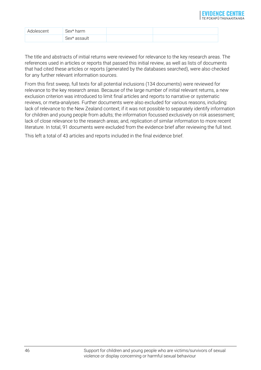| Adolescent | $Sex*$<br>harm            |  |
|------------|---------------------------|--|
|            | Sex*<br>assault<br>$\cap$ |  |

The title and abstracts of initial returns were reviewed for relevance to the key research areas. The references used in articles or reports that passed this initial review, as well as lists of documents that had cited these articles or reports (generated by the databases searched), were also checked for any further relevant information sources.

From this first sweep, full texts for all potential inclusions (134 documents) were reviewed for relevance to the key research areas. Because of the large number of initial relevant returns, a new exclusion criterion was introduced to limit final articles and reports to narrative or systematic reviews, or meta-analyses. Further documents were also excluded for various reasons, including: lack of relevance to the New Zealand context; if it was not possible to separately identify information for children and young people from adults; the information focussed exclusively on risk assessment; lack of close relevance to the research areas; and, replication of similar information to more recent literature. In total, 91 documents were excluded from the evidence brief after reviewing the full text.

This left a total of 43 articles and reports included in the final evidence brief.